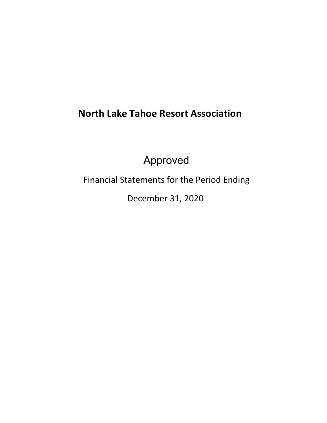# **North Lake Tahoe Resort Association**

Approved

Financial Statements for the Period Ending

December 31, 2020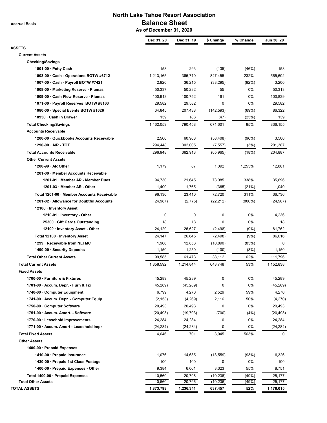**Accrual Basis**

# **North Lake Tahoe Resort Association Balance Sheet**

 **As of December 31, 2020**

|                                            | Dec 31, 20 | Dec 31, 19 | \$ Change  | % Change  | Jun 30, 20 |
|--------------------------------------------|------------|------------|------------|-----------|------------|
| <b>ASSETS</b>                              |            |            |            |           |            |
| <b>Current Assets</b>                      |            |            |            |           |            |
| <b>Checking/Savings</b>                    |            |            |            |           |            |
| 1001-00 $\cdot$ Petty Cash                 | 158        | 293        | (135)      | (46%)     | 158        |
| 1003-00 Cash - Operations BOTW #6712       | 1,213,165  | 365,710    | 847,455    | 232%      | 565,602    |
| 1007-00 · Cash - Payroll BOTW #7421        | 2,920      | 36,215     | (33, 295)  | (92%)     | 3,200      |
| 1008-00 · Marketing Reserve - Plumas       | 50,337     | 50,282     | 55         | 0%        | 50,313     |
| 1009-00 · Cash Flow Reserve - Plumas       | 100,913    | 100,752    | 161        | 0%        | 100,839    |
| 1071-00 · Payroll Reserves BOTW #8163      | 29,582     | 29,582     | 0          | $0\%$     | 29,582     |
| 1080-00 · Special Events BOTW #1626        | 64,845     | 207,438    | (142, 593) | (69%)     | 86,322     |
| 10950 · Cash in Drawer                     | 139        | 186        | (47)       | (25%)     | 139        |
| <b>Total Checking/Savings</b>              | 1,462,059  | 790,458    | 671,601    | 85%       | 836,155    |
| <b>Accounts Receivable</b>                 |            |            |            |           |            |
| 1200-00 · Quickbooks Accounts Receivable   | 2,500      | 60,908     | (58, 408)  | (96%)     | 3,500      |
| $1290-00 \cdot A/R$ - TOT                  | 294,448    | 302.005    | (7, 557)   | (3%)      | 201,387    |
| <b>Total Accounts Receivable</b>           |            |            |            |           |            |
|                                            | 296,948    | 362,913    | (65, 965)  | (18%)     | 204,887    |
| <b>Other Current Assets</b>                |            |            |            |           |            |
| $1200-99 \cdot AR$ Other                   | 1,179      | 87         | 1,092      | 1,255%    | 12,881     |
| 1201-00 · Member Accounts Receivable       |            |            |            |           |            |
| 1201-01 · Member AR - Member Dues          | 94,730     | 21,645     | 73,085     | 338%      | 35,696     |
| 1201-03 Member AR - Other                  | 1,400      | 1,765      | (365)      | (21%)     | 1,040      |
| Total 1201-00 · Member Accounts Receivable | 96,130     | 23,410     | 72,720     | 311%      | 36,736     |
| 1201-02 · Allowance for Doubtful Accounts  | (24, 987)  | (2,775)    | (22, 212)  | $(800\%)$ | (24, 987)  |
| 12100 · Inventory Asset                    |            |            |            |           |            |
| 1210-01 · Inventory - Other                | 0          | 0          | 0          | 0%        | 4,236      |
| 25300 · Gift Cards Outstanding             | 18         | 18         | 0          | 0%        | 18         |
| 12100 · Inventory Asset - Other            | 24,129     | 26,627     | (2, 498)   | (9%)      | 81,762     |
| Total 12100 · Inventory Asset              | 24,147     | 26,645     | (2, 498)   | (9%)      | 86,016     |
| 1299 · Receivable from NLTMC               | 1,966      | 12,856     | (10, 890)  | (85%)     | 0          |
| 1490-00 · Security Deposits                | 1,150      | 1,250      | (100)      | (8%)      | 1,150      |
| <b>Total Other Current Assets</b>          | 99,585     | 61,473     | 38,112     | 62%       | 111,796    |
| <b>Total Current Assets</b>                | 1,858,592  | 1,214,844  | 643,748    | 53%       | 1,152,838  |
| <b>Fixed Assets</b>                        |            |            |            |           |            |
| 1700-00 · Furniture & Fixtures             | 45,289     | 45,289     | 0          | 0%        | 45,289     |
| 1701-00 · Accum. Depr. - Furn & Fix        | (45, 289)  | (45, 289)  | 0          | 0%        | (45, 289)  |
| 1740-00 Computer Equipment                 | 6,799      | 4,270      | 2,529      | 59%       | 4,270      |
| 1741-00 · Accum. Depr. - Computer Equip    | (2, 153)   | (4,269)    | 2,116      | 50%       | (4,270)    |
| 1750-00 Computer Software                  | 20,493     | 20,493     | 0          | 0%        | 20,493     |
| 1751-00 · Accum. Amort. - Software         | (20, 493)  | (19, 793)  | (700)      | (4%)      | (20, 493)  |
| 1770-00 · Leasehold Improvements           | 24,284     | 24,284     | 0          | 0%        | 24,284     |
| 1771-00 · Accum. Amort - Leasehold Impr    | (24, 284)  | (24, 284)  | 0          | 0%        | (24, 284)  |
| <b>Total Fixed Assets</b>                  | 4,646      | 701        | 3,945      | 563%      | 0          |
| <b>Other Assets</b>                        |            |            |            |           |            |
| 1400-00 · Prepaid Expenses                 |            |            |            |           |            |
| 1410-00 · Prepaid Insurance                | 1,076      | 14,635     | (13, 559)  | (93%)     | 16,326     |
| 1430-00 · Prepaid 1st Class Postage        | 100        | 100        | 0          | 0%        | 100        |
| 1400-00 · Prepaid Expenses - Other         | 9,384      | 6,061      | 3,323      | 55%       | 8,751      |
| Total 1400-00 · Prepaid Expenses           | 10,560     | 20,796     | (10, 236)  | (49%)     | 25,177     |
| <b>Total Other Assets</b>                  | 10,560     | 20,796     | (10, 236)  | (49%)     | 25,177     |
| <b>TOTAL ASSETS</b>                        | 1,873,798  | 1,236,341  | 637,457    | 52%       | 1,178,015  |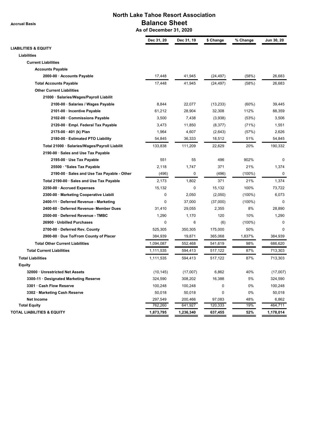**Accrual Basis**

# **North Lake Tahoe Resort Association Balance Sheet**

 **As of December 31, 2020**

| Dec 31, 20<br>Dec 31, 19<br>\$ Change<br>% Change<br><b>LIABILITIES &amp; EQUITY</b><br>Liabilities<br><b>Current Liabilities</b><br><b>Accounts Payable</b><br>17,448<br>2000-00 · Accounts Payable<br>41,945<br>(24, 497)<br>(58%)<br><b>Total Accounts Payable</b><br>17,448<br>41,945<br>(58%)<br>(24, 497)<br><b>Other Current Liabilities</b><br>21000 · Salaries/Wages/Payroll Liabilit<br>2100-00 · Salaries / Wages Payable<br>8,844<br>22,077<br>(13, 233)<br>$(60\%)$<br>61,212<br>32,308<br>112%<br>2101-00 · Incentive Payable<br>28,904<br>2102-00 Commissions Payable<br>3,500<br>7,438<br>(3,938)<br>(53%)<br>2120-00 · Empl. Federal Tax Payable<br>3,473<br>11,850<br>(8, 377)<br>(71%)<br>$2175-00 \cdot 401$ (k) Plan<br>1,964<br>4,607<br>(2,643)<br>(57%)<br>2180-00 · Estimated PTO Liability<br>54,845<br>36,333<br>18,512<br>51%<br>20%<br>Total 21000 · Salaries/Wages/Payroll Liabilit<br>133,838<br>111,209<br>22,629<br>2190-00 · Sales and Use Tax Payable<br>551<br>55<br>496<br>902%<br>2195-00 · Use Tax Payable<br>1,747<br>371<br>21%<br>25500 · * Sales Tax Payable<br>2,118<br>0<br>2190-00 · Sales and Use Tax Payable - Other<br>(496)<br>(496)<br>$(100\%)$<br>1,802<br>371<br>21%<br>Total 2190-00 · Sales and Use Tax Payable<br>2,173<br>15,132<br>0<br>100%<br>2250-00 · Accrued Expenses<br>15,132<br>0<br>2,050<br>2300-00 · Marketing Cooperative Liabili<br>(2,050)<br>$(100\%)$<br>0<br>37,000<br>2400-11 · Deferred Revenue - Marketing<br>(37,000)<br>$(100\%)$<br>2400-60 · Deferred Revenue- Member Dues<br>31,410<br>29,055<br>8%<br>2,355<br>2500-00 · Deferred Revenue - TMBC<br>1,170<br>120<br>10%<br>1,290 | Jun 30, 20<br>26,683<br>26,683<br>39,445<br>88,359<br>3,506<br>1,551<br>2,626<br>54,845<br>190,332 |
|-----------------------------------------------------------------------------------------------------------------------------------------------------------------------------------------------------------------------------------------------------------------------------------------------------------------------------------------------------------------------------------------------------------------------------------------------------------------------------------------------------------------------------------------------------------------------------------------------------------------------------------------------------------------------------------------------------------------------------------------------------------------------------------------------------------------------------------------------------------------------------------------------------------------------------------------------------------------------------------------------------------------------------------------------------------------------------------------------------------------------------------------------------------------------------------------------------------------------------------------------------------------------------------------------------------------------------------------------------------------------------------------------------------------------------------------------------------------------------------------------------------------------------------------------------------------------------------------------------------------------------------------------------------------------|----------------------------------------------------------------------------------------------------|
|                                                                                                                                                                                                                                                                                                                                                                                                                                                                                                                                                                                                                                                                                                                                                                                                                                                                                                                                                                                                                                                                                                                                                                                                                                                                                                                                                                                                                                                                                                                                                                                                                                                                       |                                                                                                    |
|                                                                                                                                                                                                                                                                                                                                                                                                                                                                                                                                                                                                                                                                                                                                                                                                                                                                                                                                                                                                                                                                                                                                                                                                                                                                                                                                                                                                                                                                                                                                                                                                                                                                       |                                                                                                    |
|                                                                                                                                                                                                                                                                                                                                                                                                                                                                                                                                                                                                                                                                                                                                                                                                                                                                                                                                                                                                                                                                                                                                                                                                                                                                                                                                                                                                                                                                                                                                                                                                                                                                       |                                                                                                    |
|                                                                                                                                                                                                                                                                                                                                                                                                                                                                                                                                                                                                                                                                                                                                                                                                                                                                                                                                                                                                                                                                                                                                                                                                                                                                                                                                                                                                                                                                                                                                                                                                                                                                       |                                                                                                    |
|                                                                                                                                                                                                                                                                                                                                                                                                                                                                                                                                                                                                                                                                                                                                                                                                                                                                                                                                                                                                                                                                                                                                                                                                                                                                                                                                                                                                                                                                                                                                                                                                                                                                       |                                                                                                    |
|                                                                                                                                                                                                                                                                                                                                                                                                                                                                                                                                                                                                                                                                                                                                                                                                                                                                                                                                                                                                                                                                                                                                                                                                                                                                                                                                                                                                                                                                                                                                                                                                                                                                       |                                                                                                    |
|                                                                                                                                                                                                                                                                                                                                                                                                                                                                                                                                                                                                                                                                                                                                                                                                                                                                                                                                                                                                                                                                                                                                                                                                                                                                                                                                                                                                                                                                                                                                                                                                                                                                       |                                                                                                    |
|                                                                                                                                                                                                                                                                                                                                                                                                                                                                                                                                                                                                                                                                                                                                                                                                                                                                                                                                                                                                                                                                                                                                                                                                                                                                                                                                                                                                                                                                                                                                                                                                                                                                       |                                                                                                    |
|                                                                                                                                                                                                                                                                                                                                                                                                                                                                                                                                                                                                                                                                                                                                                                                                                                                                                                                                                                                                                                                                                                                                                                                                                                                                                                                                                                                                                                                                                                                                                                                                                                                                       |                                                                                                    |
|                                                                                                                                                                                                                                                                                                                                                                                                                                                                                                                                                                                                                                                                                                                                                                                                                                                                                                                                                                                                                                                                                                                                                                                                                                                                                                                                                                                                                                                                                                                                                                                                                                                                       |                                                                                                    |
|                                                                                                                                                                                                                                                                                                                                                                                                                                                                                                                                                                                                                                                                                                                                                                                                                                                                                                                                                                                                                                                                                                                                                                                                                                                                                                                                                                                                                                                                                                                                                                                                                                                                       |                                                                                                    |
|                                                                                                                                                                                                                                                                                                                                                                                                                                                                                                                                                                                                                                                                                                                                                                                                                                                                                                                                                                                                                                                                                                                                                                                                                                                                                                                                                                                                                                                                                                                                                                                                                                                                       |                                                                                                    |
|                                                                                                                                                                                                                                                                                                                                                                                                                                                                                                                                                                                                                                                                                                                                                                                                                                                                                                                                                                                                                                                                                                                                                                                                                                                                                                                                                                                                                                                                                                                                                                                                                                                                       |                                                                                                    |
|                                                                                                                                                                                                                                                                                                                                                                                                                                                                                                                                                                                                                                                                                                                                                                                                                                                                                                                                                                                                                                                                                                                                                                                                                                                                                                                                                                                                                                                                                                                                                                                                                                                                       |                                                                                                    |
|                                                                                                                                                                                                                                                                                                                                                                                                                                                                                                                                                                                                                                                                                                                                                                                                                                                                                                                                                                                                                                                                                                                                                                                                                                                                                                                                                                                                                                                                                                                                                                                                                                                                       |                                                                                                    |
|                                                                                                                                                                                                                                                                                                                                                                                                                                                                                                                                                                                                                                                                                                                                                                                                                                                                                                                                                                                                                                                                                                                                                                                                                                                                                                                                                                                                                                                                                                                                                                                                                                                                       |                                                                                                    |
|                                                                                                                                                                                                                                                                                                                                                                                                                                                                                                                                                                                                                                                                                                                                                                                                                                                                                                                                                                                                                                                                                                                                                                                                                                                                                                                                                                                                                                                                                                                                                                                                                                                                       |                                                                                                    |
|                                                                                                                                                                                                                                                                                                                                                                                                                                                                                                                                                                                                                                                                                                                                                                                                                                                                                                                                                                                                                                                                                                                                                                                                                                                                                                                                                                                                                                                                                                                                                                                                                                                                       | 0                                                                                                  |
|                                                                                                                                                                                                                                                                                                                                                                                                                                                                                                                                                                                                                                                                                                                                                                                                                                                                                                                                                                                                                                                                                                                                                                                                                                                                                                                                                                                                                                                                                                                                                                                                                                                                       | 1,374                                                                                              |
|                                                                                                                                                                                                                                                                                                                                                                                                                                                                                                                                                                                                                                                                                                                                                                                                                                                                                                                                                                                                                                                                                                                                                                                                                                                                                                                                                                                                                                                                                                                                                                                                                                                                       | $\mathbf 0$                                                                                        |
|                                                                                                                                                                                                                                                                                                                                                                                                                                                                                                                                                                                                                                                                                                                                                                                                                                                                                                                                                                                                                                                                                                                                                                                                                                                                                                                                                                                                                                                                                                                                                                                                                                                                       | 1,374                                                                                              |
|                                                                                                                                                                                                                                                                                                                                                                                                                                                                                                                                                                                                                                                                                                                                                                                                                                                                                                                                                                                                                                                                                                                                                                                                                                                                                                                                                                                                                                                                                                                                                                                                                                                                       | 73,722                                                                                             |
|                                                                                                                                                                                                                                                                                                                                                                                                                                                                                                                                                                                                                                                                                                                                                                                                                                                                                                                                                                                                                                                                                                                                                                                                                                                                                                                                                                                                                                                                                                                                                                                                                                                                       | 6,073                                                                                              |
|                                                                                                                                                                                                                                                                                                                                                                                                                                                                                                                                                                                                                                                                                                                                                                                                                                                                                                                                                                                                                                                                                                                                                                                                                                                                                                                                                                                                                                                                                                                                                                                                                                                                       | 0                                                                                                  |
|                                                                                                                                                                                                                                                                                                                                                                                                                                                                                                                                                                                                                                                                                                                                                                                                                                                                                                                                                                                                                                                                                                                                                                                                                                                                                                                                                                                                                                                                                                                                                                                                                                                                       | 28,890                                                                                             |
|                                                                                                                                                                                                                                                                                                                                                                                                                                                                                                                                                                                                                                                                                                                                                                                                                                                                                                                                                                                                                                                                                                                                                                                                                                                                                                                                                                                                                                                                                                                                                                                                                                                                       | 1,290                                                                                              |
| 0<br>6<br>26900 · Unbilled Purchases<br>(6)<br>$(100\%)$                                                                                                                                                                                                                                                                                                                                                                                                                                                                                                                                                                                                                                                                                                                                                                                                                                                                                                                                                                                                                                                                                                                                                                                                                                                                                                                                                                                                                                                                                                                                                                                                              | 0                                                                                                  |
| 525,305<br>350,305<br>175,000<br>2700-00 · Deferred Rev. County<br>50%                                                                                                                                                                                                                                                                                                                                                                                                                                                                                                                                                                                                                                                                                                                                                                                                                                                                                                                                                                                                                                                                                                                                                                                                                                                                                                                                                                                                                                                                                                                                                                                                | $\Omega$                                                                                           |
| 19,871<br>1,837%<br>2900-00 · Due To/From County of Placer<br>384,939<br>365,068                                                                                                                                                                                                                                                                                                                                                                                                                                                                                                                                                                                                                                                                                                                                                                                                                                                                                                                                                                                                                                                                                                                                                                                                                                                                                                                                                                                                                                                                                                                                                                                      | 384,939                                                                                            |
| <b>Total Other Current Liabilities</b><br>98%<br>1,094,087<br>552,468<br>541,619                                                                                                                                                                                                                                                                                                                                                                                                                                                                                                                                                                                                                                                                                                                                                                                                                                                                                                                                                                                                                                                                                                                                                                                                                                                                                                                                                                                                                                                                                                                                                                                      | 686,620                                                                                            |
| 87%<br><b>Total Current Liabilities</b><br>1,111,535<br>594,413<br>517,122                                                                                                                                                                                                                                                                                                                                                                                                                                                                                                                                                                                                                                                                                                                                                                                                                                                                                                                                                                                                                                                                                                                                                                                                                                                                                                                                                                                                                                                                                                                                                                                            | 713,303                                                                                            |
| <b>Total Liabilities</b><br>87%<br>1,111,535<br>594,413<br>517,122                                                                                                                                                                                                                                                                                                                                                                                                                                                                                                                                                                                                                                                                                                                                                                                                                                                                                                                                                                                                                                                                                                                                                                                                                                                                                                                                                                                                                                                                                                                                                                                                    | 713,303                                                                                            |
| <b>Equity</b>                                                                                                                                                                                                                                                                                                                                                                                                                                                                                                                                                                                                                                                                                                                                                                                                                                                                                                                                                                                                                                                                                                                                                                                                                                                                                                                                                                                                                                                                                                                                                                                                                                                         |                                                                                                    |
| 40%<br>(10, 145)<br>(17,007)<br>6,862<br>32000 Unrestricted Net Assets                                                                                                                                                                                                                                                                                                                                                                                                                                                                                                                                                                                                                                                                                                                                                                                                                                                                                                                                                                                                                                                                                                                                                                                                                                                                                                                                                                                                                                                                                                                                                                                                | (17,007)                                                                                           |
| 16,388<br>5%<br>3300-11 · Designated Marketing Reserve<br>324,590<br>308,202                                                                                                                                                                                                                                                                                                                                                                                                                                                                                                                                                                                                                                                                                                                                                                                                                                                                                                                                                                                                                                                                                                                                                                                                                                                                                                                                                                                                                                                                                                                                                                                          | 324,590                                                                                            |
| 3301 · Cash Flow Reserve<br>100,248<br>100,248<br>0%<br>0                                                                                                                                                                                                                                                                                                                                                                                                                                                                                                                                                                                                                                                                                                                                                                                                                                                                                                                                                                                                                                                                                                                                                                                                                                                                                                                                                                                                                                                                                                                                                                                                             | 100,248                                                                                            |
| 0<br>3302 · Marketing Cash Reserve<br>50,018<br>50,018<br>0%                                                                                                                                                                                                                                                                                                                                                                                                                                                                                                                                                                                                                                                                                                                                                                                                                                                                                                                                                                                                                                                                                                                                                                                                                                                                                                                                                                                                                                                                                                                                                                                                          | 50,018                                                                                             |
| 297,549<br>97,083<br>48%<br>Net Income<br>200,466                                                                                                                                                                                                                                                                                                                                                                                                                                                                                                                                                                                                                                                                                                                                                                                                                                                                                                                                                                                                                                                                                                                                                                                                                                                                                                                                                                                                                                                                                                                                                                                                                     | 6,862                                                                                              |
| 19%<br><b>Total Equity</b><br>762,260<br>641,927<br>120,333                                                                                                                                                                                                                                                                                                                                                                                                                                                                                                                                                                                                                                                                                                                                                                                                                                                                                                                                                                                                                                                                                                                                                                                                                                                                                                                                                                                                                                                                                                                                                                                                           | 464,711                                                                                            |
| TOTAL LIABILITIES & EQUITY<br>52%<br>1,873,795<br>1,236,340<br>637,455                                                                                                                                                                                                                                                                                                                                                                                                                                                                                                                                                                                                                                                                                                                                                                                                                                                                                                                                                                                                                                                                                                                                                                                                                                                                                                                                                                                                                                                                                                                                                                                                | 1,178,014                                                                                          |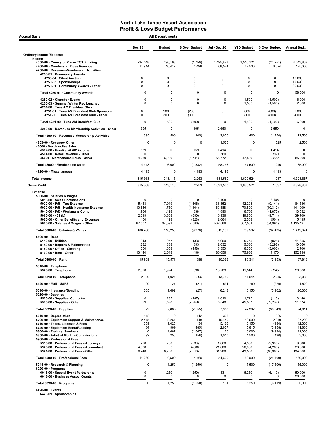| <b>Accrual Basis</b>                                                                                                                                                                                                                                                                |                                                                   | <b>All Departments</b>                                  |                                                                        |                                                                  |                                                                        |                                                                            |                                                                  |  |
|-------------------------------------------------------------------------------------------------------------------------------------------------------------------------------------------------------------------------------------------------------------------------------------|-------------------------------------------------------------------|---------------------------------------------------------|------------------------------------------------------------------------|------------------------------------------------------------------|------------------------------------------------------------------------|----------------------------------------------------------------------------|------------------------------------------------------------------|--|
|                                                                                                                                                                                                                                                                                     | <b>Dec 20</b>                                                     | <b>Budget</b>                                           | \$ Over Budget                                                         | Jul - Dec 20                                                     | <b>YTD Budget</b>                                                      | \$ Over Budget                                                             | Annual Bud                                                       |  |
| <b>Ordinary Income/Expense</b>                                                                                                                                                                                                                                                      |                                                                   |                                                         |                                                                        |                                                                  |                                                                        |                                                                            |                                                                  |  |
| Income<br>4050-00 County of Placer TOT Funding<br>4200-00 · Membership Dues Revenue<br>4250-00 · Revenues-Membership Activities                                                                                                                                                     | 294,448<br>11,914                                                 | 296,198<br>10,417                                       | (1,750)<br>1,498                                                       | 1,495,873<br>68,574                                              | 1.516.124<br>62,500                                                    | (20, 251)<br>6,074                                                         | 4,043,867<br>125,000                                             |  |
| 4250-01 · Community Awards<br>4250-04 · Silent Auction                                                                                                                                                                                                                              | $\mathbf 0$                                                       | 0                                                       | 0                                                                      | 0                                                                | 0                                                                      | 0                                                                          | 19,000                                                           |  |
| 4250-05 · Sponsorships<br>4250-01 · Community Awards - Other                                                                                                                                                                                                                        | 0<br>0                                                            | 0<br>0                                                  | 0<br>$\Omega$                                                          | 0<br>0                                                           | 0<br>0                                                                 | 0<br>0                                                                     | 19,000<br>20,000                                                 |  |
| Total 4250-01 · Community Awards                                                                                                                                                                                                                                                    | 0                                                                 | $\mathbf 0$                                             | $\mathbf 0$                                                            | 0                                                                | $\mathbf 0$                                                            | $\mathbf 0$                                                                | 58,000                                                           |  |
| 4250-02 · Chamber Events                                                                                                                                                                                                                                                            | 0                                                                 | 0                                                       | 0                                                                      | 0                                                                | 1,500                                                                  | (1,500)                                                                    | 6,000                                                            |  |
| 4250-03 · Summer/Winter Rec Luncheon<br>4251-00 · Tues AM Breakfast Club<br>4251-01 · Tues AM Breakfast Club Sponsors                                                                                                                                                               | $\mathbf 0$<br>0                                                  | $\Omega$<br>200                                         | $\mathbf 0$<br>(200)                                                   | $\mathbf 0$<br>0                                                 | 1,500<br>600                                                           | (1,500)<br>(600)                                                           | 2,500<br>2,000                                                   |  |
| 4251-00 · Tues AM Breakfast Club - Other                                                                                                                                                                                                                                            | $\mathbf 0$                                                       | 300                                                     | (300)                                                                  | 0                                                                | 800                                                                    | (800)                                                                      | 4,000                                                            |  |
| Total 4251-00 · Tues AM Breakfast Club                                                                                                                                                                                                                                              | 0                                                                 | 500                                                     | (500)                                                                  | 0                                                                | 1,400                                                                  | (1,400)                                                                    | 6,000                                                            |  |
| 4250-00 · Revenues-Membership Activities - Other                                                                                                                                                                                                                                    | 395                                                               | 0                                                       | 395                                                                    | 2,650                                                            | $\mathbf 0$                                                            | 2,650                                                                      | $\mathbf 0$                                                      |  |
| Total 4250-00 · Revenues-Membership Activities                                                                                                                                                                                                                                      | 395                                                               | 500                                                     | (105)                                                                  | 2,650                                                            | 4,400                                                                  | (1,750)                                                                    | 72,500                                                           |  |
| 4253-00 · Revenue-Other<br>46000 · Merchandise Sales                                                                                                                                                                                                                                | $\mathbf 0$                                                       | $\Omega$                                                | 0                                                                      | 1,525                                                            | 0                                                                      | 1,525                                                                      | 2,500                                                            |  |
| 4502-00 · Non-Retail VIC income<br>4504-00 · Retail Revenue - Other<br>46000 · Merchandise Sales - Other                                                                                                                                                                            | 159<br>$\Omega$<br>4,259                                          | $\mathbf 0$<br>$\Omega$<br>6,000                        | 159<br>n<br>(1,741)                                                    | 1,414<br>560<br>56,772                                           | $\mathbf 0$<br>$\Omega$<br>47,500                                      | 1,414<br>560<br>9,272                                                      | $\mathsf 0$<br>0<br>85,000                                       |  |
| Total 46000 · Merchandise Sales                                                                                                                                                                                                                                                     | 4,418                                                             | 6,000                                                   | (1, 582)                                                               | 58,746                                                           | 47,500                                                                 | 11,246                                                                     | 85,000                                                           |  |
| 4720-00 · Miscellaneous                                                                                                                                                                                                                                                             | 4,193                                                             | 0                                                       | 4,193                                                                  | 4,193                                                            | 0                                                                      | 4,193                                                                      | 0                                                                |  |
| <b>Total Income</b>                                                                                                                                                                                                                                                                 | 315,368                                                           | 313,115                                                 | 2,253                                                                  | 1,631,560                                                        | 1,630,524                                                              | 1,037                                                                      | 4,328,867                                                        |  |
| <b>Gross Profit</b>                                                                                                                                                                                                                                                                 | 315,368                                                           | 313,115                                                 | 2,253                                                                  | 1,631,560                                                        | 1,630,524                                                              | 1,037                                                                      | 4,328,867                                                        |  |
| <b>Expense</b>                                                                                                                                                                                                                                                                      |                                                                   |                                                         |                                                                        |                                                                  |                                                                        |                                                                            |                                                                  |  |
| 5000-00 · Salaries & Wages<br>5010-00 · Sales Commissions<br>5020-00 $\cdot$ P/R - Tax Expense<br>5030 00 · P/R - Health Insurance Expense<br>5040-00 · P/R - Workmans Comp<br>5060-00 $\cdot$ 401 (k)<br>5070-00 Other Benefits and Expenses<br>5000-00 · Salaries & Wages - Other | $\mathbf 0$<br>5,443<br>10,646<br>1,966<br>2,619<br>100<br>87,507 | 0<br>7,049<br>11,750<br>1,128<br>3,308<br>428<br>94,593 | $\mathbf 0$<br>(1,606)<br>(1, 104)<br>838<br>(690)<br>(328)<br>(7,086) | 2,106<br>33,152<br>60,188<br>4,890<br>10,136<br>2,064<br>502,566 | $\mathbf 0$<br>42,293<br>70,500<br>6,766<br>19,850<br>2,568<br>567,561 | 2,106<br>(9, 141)<br>(10, 312)<br>(1,876)<br>(9,714)<br>(504)<br>(64, 994) | 0<br>84,586<br>141,000<br>13,532<br>39,700<br>5,135<br>1,135,121 |  |
| Total 5000-00 · Salaries & Wages                                                                                                                                                                                                                                                    | 108,280                                                           | 118,256                                                 | (9,976)                                                                | 615,102                                                          | 709,537                                                                | (94, 435)                                                                  | 1,419,074                                                        |  |
| $5100-00 \cdot$ Rent<br>$5110-00 \cdot$ Utilities<br>5140-00 · Repairs & Maintenance<br>5150-00 · Office - Cleaning<br>5100-00 · Rent - Other                                                                                                                                       | 943<br>1,282<br>600<br>13,144                                     | 977<br>888<br>1,058<br>12,648                           | (33)<br>393<br>(458)<br>496                                            | 4,950<br>2,032<br>3,350<br>80,056                                | 5,775<br>5,330<br>6,350<br>75,886                                      | (825)<br>(3, 298)<br>(3,000)<br>4,170                                      | 11,655<br>10,660<br>12,700<br>152,798                            |  |
| Total 5100-00 · Rent                                                                                                                                                                                                                                                                | 15,969                                                            | 15,571                                                  | 398                                                                    | 90,388                                                           | 93,341                                                                 | (2,953)                                                                    | 187,813                                                          |  |
| 5310-00 · Telephone<br>5320-00 · Telephone                                                                                                                                                                                                                                          | 2,320                                                             | 1,924                                                   | 396                                                                    | 13,789                                                           | 11,544                                                                 | 2,245                                                                      | 23,088                                                           |  |
| Total 5310-00 · Telephone                                                                                                                                                                                                                                                           | 2,320                                                             | 1,924                                                   | 396                                                                    | 13,789                                                           | 11,544                                                                 | 2,245                                                                      | 23,088                                                           |  |
| 5420-00 · Mail - USPS                                                                                                                                                                                                                                                               | 100                                                               | 127                                                     | (27)                                                                   | 531                                                              | 760                                                                    | (229)                                                                      | 1,520                                                            |  |
| 5510-00 · Insurance/Bonding<br>$5520-00 \cdot$ Supplies                                                                                                                                                                                                                             | 1,665                                                             | 1,692                                                   | (27)                                                                   | 6,248                                                            | 10,150                                                                 | (3,902)                                                                    | 20,300                                                           |  |
| 5525-00 · Supplies- Computer<br>5520-00 · Supplies - Other                                                                                                                                                                                                                          | $\pmb{0}$<br>329                                                  | 287<br>7,598                                            | (287)<br>(7, 269)                                                      | 1,610<br>6,348                                                   | 1,720<br>45,587                                                        | (110)<br>(39, 239)                                                         | 3,440<br>91,174                                                  |  |
| Total 5520-00 · Supplies                                                                                                                                                                                                                                                            | 329                                                               | 7,885                                                   | (7, 555)                                                               | 7,958                                                            | 47,307                                                                 | (39, 349)                                                                  | 94,614                                                           |  |
| 5610-00 Depreciation<br>5700-00 · Equipment Support & Maintenance<br>5710-00 · Taxes, Licenses & Fees<br>5740-00 · Equipment Rental/Leasing<br>5800-00 · Training Seminars<br>5850-00 · Artist of Month - Commissions                                                               | 112<br>2,415<br>1,059<br>484<br>0<br>92                           | $\mathbf 0$<br>2,267<br>1,025<br>969<br>1,667<br>250    | 112<br>148<br>34<br>(485)<br>(1,667)<br>(158)                          | 306<br>16,449<br>5,166<br>2,657<br>66<br>1,010                   | 0<br>13,600<br>6,150<br>5,815<br>10,000<br>1,500                       | 306<br>2,849<br>(984)<br>(3, 158)<br>(9,934)<br>(490)                      | 0<br>27,200<br>12,300<br>11,630<br>22,000<br>3,000               |  |
| 5900-00 · Professional Fees<br>5910-00 · Professional Fees - Attorneys<br>5920-00 · Professional Fees - Accountant<br>5921-00 · Professional Fees - Other                                                                                                                           | 220<br>4,800<br>6,240                                             | 750<br>0<br>8,750                                       | (530)<br>4,800<br>(2, 510)                                             | 1,600<br>21,800<br>31,200                                        | 4,500<br>26,000<br>49,500                                              | (2,900)<br>(4, 200)<br>(18, 300)                                           | 9,000<br>26,000<br>134,000                                       |  |
| Total 5900-00 · Professional Fees                                                                                                                                                                                                                                                   | 11,260                                                            | 9,500                                                   | 1,760                                                                  | 54,600                                                           | 80,000                                                                 | (25, 400)                                                                  | 169,000                                                          |  |
| 5941-00 · Research & Planning                                                                                                                                                                                                                                                       | 0                                                                 | 1,250                                                   | (1,250)                                                                | $\pmb{0}$                                                        | 17,500                                                                 | (17,500)                                                                   | 55,000                                                           |  |
| $6020-00 \cdot$ Programs<br>6016-00 · Special Event Partnership<br>6018-00 · Business Assoc. Grants                                                                                                                                                                                 | $\pmb{0}$<br>0                                                    | 1,250<br>0                                              | (1,250)<br>0                                                           | 131<br>0                                                         | 6,250<br>0                                                             | (6, 119)<br>0                                                              | 50,000<br>30,000                                                 |  |
| Total 6020-00 · Programs                                                                                                                                                                                                                                                            | $\mathbf 0$                                                       | 1,250                                                   | (1,250)                                                                | 131                                                              | 6,250                                                                  | (6, 119)                                                                   | 80,000                                                           |  |

6420-00 · Events 6420-01 · Sponsorships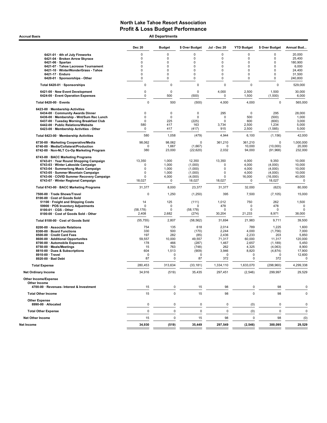Accrual Basis **Accrual Basis All Departments** 

|                                                                                | <b>Dec 20</b>      | <b>Budget</b>     | \$ Over Budget | Jul - Dec 20         | <b>YTD Budget</b>    | \$ Over Budget    | Annual Bud      |
|--------------------------------------------------------------------------------|--------------------|-------------------|----------------|----------------------|----------------------|-------------------|-----------------|
| 6421-01 · 4th of July Fireworks                                                | $\mathbf 0$        | 0                 | 0              | 0                    | 0                    | 0                 | 20,000          |
| 6421-04 · Broken Arrow Skyrace                                                 | $\mathbf 0$        | $\Omega$          | 0              | 0                    | 0                    | $\mathbf 0$       | 25,400          |
| $6421-06 \cdot$ Spartan                                                        | $\mathbf 0$        | $\mathbf 0$       | 0              | 0                    | 0                    | $\mathbf 0$       | 180,900         |
| 6421-07 · Tahoe Lacrosse Tournament                                            | $\Omega$           | $\mathbf 0$       | 0              | 0                    | 0                    | $\mathbf 0$       | 6,000           |
| 6421-10 · WinterWonderGrass - Tahoe                                            | $\mathbf 0$        | $\mathbf 0$       | 0              | 0                    | 0                    | $\mathbf 0$       | 24,400          |
| 6421-17 · Enduro                                                               | $\mathbf 0$        | $\mathbf 0$       | 0              | 0                    | 0                    | $\mathbf 0$       | 31,500          |
| 6420-01 · Sponsorships - Other                                                 | $\mathbf 0$        | $\mathbf 0$       | 0              | 0                    | 0                    | $\mathbf 0$       | 240,800         |
| Total 6420-01 · Sponsorships                                                   | 0                  | $\mathbf 0$       | 0              | $\mathbf 0$          | 0                    | $\mathbf 0$       | 529,000         |
| 6421-00 · New Event Development<br>6424-00 · Event Operation Expenses          | 0<br>0             | 0<br>500          | 0<br>(500)     | 4,000<br>$\mathbf 0$ | 2,500<br>1,500       | 1,500<br>(1,500)  | 30,000<br>6,000 |
| Total 6420-00 · Events                                                         | 0                  | 500               | (500)          | 4,000                | 4,000                | $\mathbf 0$       | 565,000         |
| 6423-00 · Membership Activities                                                |                    |                   |                |                      |                      |                   |                 |
| 6434-00 Community Awards Dinner                                                | 0                  | 0                 | 0              | 295                  | $\mathbf 0$          | 295               | 28,000          |
| 6436-00 · Membership - Wnt/Sum Rec Lunch                                       | 0                  | $\mathbf 0$       | $\mathbf 0$    | $\mathbf 0$          | 500                  | (500)             | 1,000           |
| 6437-00 · Tuesday Morning Breakfast Club                                       | 0                  | 225               | (225)          | $\mathbf 0$          | 600                  | (600)             | 3,000           |
| 6442-00 · Public Relations/Website<br>6423-00 · Membership Activities - Other  | 580<br>$\mathbf 0$ | 417<br>417        | 163<br>(417)   | 3,734<br>915         | 2,500<br>2,500       | 1,234<br>(1, 585) | 5,000<br>5,000  |
| Total 6423-00 · Membership Activities                                          | 580                | 1,058             | (479)          | 4,944                | 6,100                | (1, 156)          | 42,000          |
|                                                                                | 98,062             | 98.062            | 0              |                      |                      | 0                 | 1,000,000       |
| 6730-00 · Marketing Cooperative/Media<br>6740-00 · Media/Collateral/Production | 0                  | 1,667             | (1,667)        | 361,210<br>0         | 361,210<br>10,000    | (10,000)          | 20,000          |
| 6742-00 · Non-NLT Co-Op Marketing Program                                      | 380                | 23,000            | (22, 620)      | 2,032                | 94,000               | (91, 968)         | 232,000         |
| 6743-00 · BACC Marketing Programs                                              |                    |                   |                |                      |                      |                   |                 |
| 6743-01 · Year Round Shopping Campaign                                         | 13,350             | 1,000             | 12,350         | 13,350               | 4,000                | 9,350             | 10,000          |
| 6743-03 · Winter Lakeside Campaign                                             | 0                  | 1,000             | (1,000)        | $\mathbf 0$          | 4,000                | (4,000)           | 10,000          |
| 6743-04 · Summerlong Music Campaign                                            | 0                  | 1,000             | (1,000)        | $\mathbf 0$          | 4,000                | (4,000)           | 10,000          |
| 6743-05 · Summer Mountain Campaign                                             | 0                  | 1,000             | (1,000)        | $\mathbf 0$          | 4,000                | (4,000)           | 10,000          |
| 6743-06 · COVID Summer Recovery Campaign                                       | 0                  | 4,000             | (4,000)        | $\mathbf 0$          | 16,000               | (16,000)          | 40,000          |
| 6743-07 · Winter Regional Campaign                                             | 18,027             | 0                 | 18,027         | 18,027               | $\mathbf 0$          | 18,027            | $\mathbf 0$     |
| Total 6743-00 · BACC Marketing Programs                                        | 31,377             | 8,000             | 23,377         | 31,377               | 32,000               | (623)             | 80,000          |
| 7500-00 · Trade Shows/Travel<br>8100-00 · Cost of Goods Sold                   | 0                  | 1,250             | (1,250)        | 395                  | 7,500                | (7, 105)          | 15,000          |
| 51100 · Freight and Shipping Costs                                             | 14                 | 125               | (111)          | 1,012                | 750                  | 262               | 1,500           |
| 59900 · POS Inventory Adjustments                                              | 0                  | $\mathbf 0$       | $\Omega$       | 478                  | 0                    | 478               | $\mathbf 0$     |
| 8100-01 · CGS - Other                                                          | (58, 178)          | $\mathbf 0$       | (58, 178)      | $\mathbf 0$          | 0                    | $\Omega$          | $\mathbf 0$     |
| 8100-00 · Cost of Goods Sold - Other                                           | 2,408              | 2,682             | (274)          | 30,204               | 21,233               | 8,971             | 38,000          |
| Total 8100-00 · Cost of Goods Sold                                             | (55, 755)          | 2,807             | (58, 562)      | 31,694               | 21,983               | 9,711             | 39,500          |
| 8200-00 · Associate Relations                                                  | 754                | 135               | 618            | 2,014                | 789                  | 1,225             | 1,600           |
| 8300-00 · Board Functions                                                      | 330                | 500               | (170)          | 2,244                | 4,000                | (1,756)           | 7,000           |
| 8500-00 · Credit Card Fees                                                     | 197                | 282               | (85)           | 2,436                | 2,233                | 203               | 5,850           |
| 8600-00 · Additional Opportunites                                              | 59,557             | 10,000            | 49,557         | 71,317               | 60,000               | 11,317            | 120,000         |
| 8700-00 · Automobile Expenses                                                  | 178                | 466               | (287)          | 1,467                | 2,657                | (1, 189)          | 5,450           |
| 8750-00 · Meals/Meetings                                                       | 15                 | 763               | (748)          | 262                  | 4,325                | (4,063)           | 8,900           |
| 8810-00 · Dues & Subscriptions<br>8910-00 · Travel                             | 604<br>0           | 1,513<br>$\Omega$ | (909)          | 3,946<br>0           | 8,820<br>$\mathbf 0$ | (4, 874)          | 17,900          |
| 8920-00 · Bad Debt                                                             | 87                 | $\Omega$          | 0<br>87        | 372                  | $\mathbf 0$          | 0<br>372          | 12,600<br>0     |
| <b>Total Expense</b>                                                           | 280,453            | 313,634           | (33, 181)      | 1,334,110            | 1,633,070            | (298,960)         | 4,299,338       |
| <b>Net Ordinary Income</b>                                                     | 34,916             | (519)             | 35,435         | 297.451              | (2, 546)             | 299,997           | 29,529          |
| Other Income/Expense                                                           |                    |                   |                |                      |                      |                   |                 |
| Other Income<br>4700-00 · Revenues- Interest & Investment                      | 15                 | 0                 | 15             | 98                   | 0                    | 98                | 0               |
| <b>Total Other Income</b>                                                      | 15                 | $\pmb{0}$         | 15             | 98                   | $\mathbf 0$          | 98                | 0               |
| <b>Other Expense</b>                                                           |                    |                   |                |                      |                      |                   |                 |
| 8990-00 · Allocated                                                            | 0                  | 0                 | 0              | 0                    | (0)                  | 0                 | $\mathbf 0$     |
| <b>Total Other Expense</b>                                                     | 0                  | $\mathbf 0$       | 0              | $\mathbf 0$          | (0)                  | $\mathsf 0$       | 0               |
| <b>Net Other Income</b>                                                        | 15                 | 0                 | 15             | 98                   | 0                    | 98                | (0)             |
| Net Income                                                                     | 34,930             | (519)             | 35,449         | 297,549              | (2, 546)             | 300,095           | 29,529          |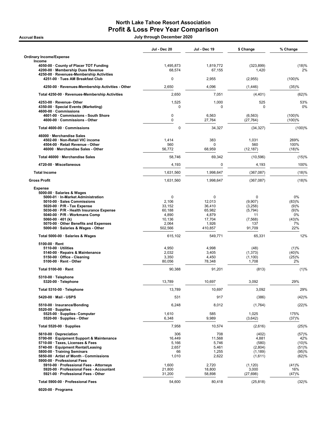# North Lake Tahoe Resort Association Profit & Loss Prev Year Comparison

Accrual Basis July through December 2020

|                                                                                                                                                                                                                                                                                                                                               | Jul - Dec 20                                                                    | Jul - Dec 19                                                                     | \$ Change                                                              | % Change                                                |
|-----------------------------------------------------------------------------------------------------------------------------------------------------------------------------------------------------------------------------------------------------------------------------------------------------------------------------------------------|---------------------------------------------------------------------------------|----------------------------------------------------------------------------------|------------------------------------------------------------------------|---------------------------------------------------------|
| Ordinary Income/Expense<br>Income                                                                                                                                                                                                                                                                                                             |                                                                                 |                                                                                  |                                                                        |                                                         |
| 4050-00 County of Placer TOT Funding<br>4200-00 · Membership Dues Revenue<br>4250-00 · Revenues-Membership Activities                                                                                                                                                                                                                         | 1,495,873<br>68,574                                                             | 1,819,772<br>67,155                                                              | (323, 899)<br>1,420                                                    | (18)%<br>2%                                             |
| 4251-00 · Tues AM Breakfast Club                                                                                                                                                                                                                                                                                                              | 0                                                                               | 2,955                                                                            | (2,955)                                                                | (100)%                                                  |
| 4250-00 · Revenues-Membership Activities - Other                                                                                                                                                                                                                                                                                              | 2,650                                                                           | 4,096                                                                            | (1, 446)                                                               | (35)%                                                   |
| Total 4250-00 · Revenues-Membership Activities                                                                                                                                                                                                                                                                                                | 2,650                                                                           | 7,051                                                                            | (4, 401)                                                               | (62)%                                                   |
| 4253-00 · Revenue- Other<br>4350-00 · Special Events (Marketing)                                                                                                                                                                                                                                                                              | 1,525<br>0                                                                      | 1,000<br>0                                                                       | 525<br>$\Omega$                                                        | 53%<br>0%                                               |
| 4600-00 · Commissions<br>4601-00 · Commissions - South Shore<br>4600-00 · Commissions - Other                                                                                                                                                                                                                                                 | $\mathbf 0$<br>$\mathbf 0$                                                      | 6,563<br>27,764                                                                  | (6, 563)<br>(27, 764)                                                  | (100)%<br>(100)%                                        |
| Total 4600-00 · Commissions                                                                                                                                                                                                                                                                                                                   | $\pmb{0}$                                                                       | 34,327                                                                           | (34, 327)                                                              | (100)%                                                  |
| 46000 · Merchandise Sales<br>4502-00 · Non-Retail VIC income<br>4504-00 · Retail Revenue - Other<br>46000 · Merchandise Sales - Other                                                                                                                                                                                                         | 1,414<br>560<br>56,772                                                          | 383<br>0<br>68,959                                                               | 1,031<br>560<br>(12, 187)                                              | 269%<br>100%<br>(18)%                                   |
| Total 46000 · Merchandise Sales                                                                                                                                                                                                                                                                                                               | 58,746                                                                          | 69,342                                                                           | (10, 596)                                                              | (15)%                                                   |
| 4720-00 · Miscellaneous                                                                                                                                                                                                                                                                                                                       | 4,193                                                                           | 0                                                                                | 4,193                                                                  | 100%                                                    |
| <b>Total Income</b>                                                                                                                                                                                                                                                                                                                           | 1,631,560                                                                       | 1,998,647                                                                        | (367, 087)                                                             | (18)%                                                   |
| <b>Gross Profit</b>                                                                                                                                                                                                                                                                                                                           | 1,631,560                                                                       | 1,998,647                                                                        | (367,087)                                                              | (18)%                                                   |
| <b>Expense</b><br>5000-00 · Salaries & Wages<br>5000-01 · In-Market Administration<br>5010-00 · Sales Commissions<br>$5020-00 \cdot P/R$ - Tax Expense<br>5030-00 · P/R - Health Insurance Expense<br>5040-00 · P/R - Workmans Comp<br>5060-00 $\cdot$ 401 (k)<br>5070-00 · Other Benefits and Expenses<br>5000-00 · Salaries & Wages - Other | $\mathbf 0$<br>2,106<br>33,152<br>60,188<br>4,890<br>10,136<br>2,064<br>502,566 | $\mathbf 0$<br>12,013<br>36,410<br>65,982<br>4,879<br>17,704<br>1,926<br>410,857 | 0<br>(9,907)<br>(3,258)<br>(5, 794)<br>11<br>(7, 568)<br>137<br>91,709 | 0%<br>(83)%<br>(9)%<br>(9)%<br>0%<br>(43)%<br>7%<br>22% |
| Total 5000-00 · Salaries & Wages                                                                                                                                                                                                                                                                                                              | 615,102                                                                         | 549,771                                                                          | 65,331                                                                 | 12%                                                     |
| $5100-00 \cdot$ Rent<br>$5110-00 \cdot$ Utilities<br>5140-00 · Repairs & Maintenance<br>5150-00 · Office - Cleaning<br>5100-00 · Rent - Other                                                                                                                                                                                                 | 4,950<br>2,032<br>3,350<br>80,056                                               | 4,998<br>3,405<br>4,450<br>78,348                                                | (48)<br>(1, 373)<br>(1,100)<br>1,708                                   | (1)%<br>(40)%<br>(25)%<br>2%                            |
| Total 5100-00 · Rent                                                                                                                                                                                                                                                                                                                          | 90,388                                                                          | 91,201                                                                           | (813)                                                                  | (1)%                                                    |
| 5310-00 · Telephone<br>5320-00 · Telephone                                                                                                                                                                                                                                                                                                    | 13,789                                                                          | 10,697                                                                           | 3.092                                                                  | 29%                                                     |
| Total 5310-00 · Telephone                                                                                                                                                                                                                                                                                                                     | 13,789                                                                          | 10,697                                                                           | 3,092                                                                  | 29%                                                     |
| 5420-00 · Mail - USPS                                                                                                                                                                                                                                                                                                                         | 531                                                                             | 917                                                                              | (386)                                                                  | (42)%                                                   |
| 5510-00 · Insurance/Bonding<br>$5520-00 \cdot$ Supplies<br>5525-00 · Supplies- Computer<br>5520-00 · Supplies - Other                                                                                                                                                                                                                         | 6,248<br>1,610<br>6,348                                                         | 8,012<br>585<br>9,989                                                            | (1,764)<br>1,025<br>(3,642)                                            | (22)%<br>175%<br>(37)%                                  |
| Total 5520-00 $\cdot$ Supplies                                                                                                                                                                                                                                                                                                                | 7,958                                                                           | 10,574                                                                           | (2,616)                                                                | (25)%                                                   |
| 5610-00 Depreciation<br>5700-00 · Equipment Support & Maintenance<br>5710-00 · Taxes, Licenses & Fees<br>5740-00 · Equipment Rental/Leasing<br>5800-00 · Training Seminars<br>5850-00 · Artist of Month - Commissions<br>5900-00 · Professional Fees                                                                                          | 306<br>16,449<br>5,166<br>2,657<br>66<br>1,010                                  | 708<br>11,568<br>5,746<br>5,461<br>1,255<br>2,622                                | (402)<br>4,881<br>(580)<br>(2,804)<br>(1, 189)<br>(1,611)              | (57)%<br>42%<br>(10)%<br>(51)%<br>(95)%<br>(62)%        |
| 5910-00 · Professional Fees - Attorneys<br>5920-00 · Professional Fees - Accountant<br>5921-00 · Professional Fees - Other                                                                                                                                                                                                                    | 1,600<br>21,800<br>31,200                                                       | 2,720<br>18,800<br>58,898                                                        | (1, 120)<br>3,000<br>(27, 698)                                         | (41)%<br>16%<br>(47)%                                   |
| Total 5900-00 · Professional Fees                                                                                                                                                                                                                                                                                                             | 54,600                                                                          | 80,418                                                                           | (25, 818)                                                              | (32)%                                                   |

6020-00 · Programs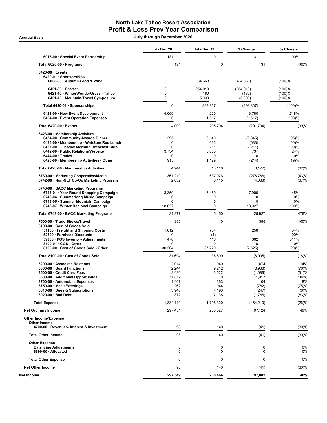# North Lake Tahoe Resort Association Profit & Loss Prev Year Comparison

Accrual Basis July through December 2020

|                                                                                    | Jul - Dec 20         | Jul - Dec 19     | \$ Change             | % Change         |
|------------------------------------------------------------------------------------|----------------------|------------------|-----------------------|------------------|
| 6016-00 · Special Event Partnership                                                | 131                  | 0                | 131                   | 100%             |
| Total 6020-00 · Programs                                                           | 131                  | 0                | 131                   | 100%             |
| $6420-00 \cdot$ Events                                                             |                      |                  |                       |                  |
| 6420-01 · Sponsorships<br>6023-00 · Autumn Food & Wine                             | 0                    | 34,668           | (34, 668)             | (100)%           |
| $6421-06 \cdot$ Spartan                                                            | 0                    | 254,019          | (254, 019)            | (100)%           |
| 6421-10 · WinterWonderGrass - Tahoe<br>6421-16 · Mountain Travel Symposium         | 0<br>0               | 180<br>5,000     | (180)<br>(5,000)      | (100)%<br>(100)% |
| Total 6420-01 · Sponsorships                                                       | 0                    | 293,867          | (293, 867)            | (100)%           |
| 6421-00 · New Event Development<br>6424-00 · Event Operation Expenses              | 4,000<br>$\mathbf 0$ | 220<br>1,617     | 3,780<br>(1,617)      | 1,718%<br>(100)% |
| Total 6420-00 · Events                                                             | 4,000                | 295,704          | (291, 704)            | (99)%            |
| 6423-00 · Membership Activities                                                    |                      |                  |                       |                  |
| 6434-00 · Community Awards Dinner<br>6436-00 · Membership - Wnt/Sum Rec Lunch      | 295<br>0             | 6,140<br>633     | (5,845)<br>(633)      | (95)%<br>(100)%  |
| 6437-00 · Tuesday Morning Breakfast Club                                           | $\Omega$             | 2,211            | (2,211)               | (100)%           |
| 6442-00 · Public Relations/Website                                                 | 3,734                | 3,003            | 731                   | 24%              |
| $6444-00 \cdot Trades$                                                             | 0                    | 0                | 0                     | 0%               |
| 6423-00 · Membership Activities - Other                                            | 915                  | 1,129            | (214)                 | (19)%            |
| Total 6423-00 · Membership Activities                                              | 4,944                | 13,116           | (8, 172)              | (62)%            |
| 6730-00 · Marketing Cooperative/Media<br>6742-00 · Non-NLT Co-Op Marketing Program | 361.210<br>2,032     | 637,976<br>6,115 | (276, 766)<br>(4,083) | (43)%<br>(67)%   |
| 6743-00 · BACC Marketing Programs                                                  |                      |                  |                       |                  |
| 6743-01 · Year Round Shopping Campaign<br>6743-04 · Summerlong Music Campaign      | 13,350<br>0          | 5,450<br>0       | 7,900<br>0            | 145%<br>$0\%$    |
| 6743-05 · Summer Mountain Campaign                                                 | 0                    | 0                | $\mathbf 0$           | 0%               |
| 6743-07 · Winter Regional Campaign                                                 | 18,027               | 0                | 18,027                | 100%             |
| Total 6743-00 · BACC Marketing Programs                                            | 31,377               | 5,450            | 25,927                | 476%             |
| 7500-00 · Trade Shows/Travel                                                       | 395                  | 0                | 395                   | 100%             |
| 8100-00 · Cost of Goods Sold<br>51100 · Freight and Shipping Costs                 | 1,012                | 754              | 258                   | 34%              |
| 52500 · Purchase Discounts                                                         | 0                    | (1)              | 1                     | 100%             |
| 59900 · POS Inventory Adjustments                                                  | 478                  | 116              | 362                   | 311%             |
| $8100-01 \cdot \text{CGS} - \text{Other}$                                          | 0                    | 0                | 0                     | 0%               |
| 8100-00 · Cost of Goods Sold - Other                                               | 30,204               | 37,729           | (7, 525)              | (20)%            |
| Total 8100-00 · Cost of Goods Sold                                                 | 31,694               | 38,599           | (6,905)               | (18)%            |
| 8200-00 · Associate Relations<br>8300-00 · Board Functions                         | 2,014<br>2,244       | 940<br>9,212     | 1,074<br>(6,968)      | 114%<br>(76)%    |
| 8500-00 · Credit Card Fees                                                         | 2,436                | 3,522            | (1,086)               | (31)%            |
| 8600-00 · Additional Opportunites                                                  | 71,317               | 0                | 71,317                | 100%             |
| 8700-00 · Automobile Expenses                                                      | 1,467                | 1,363            | 104                   | 8%               |
| 8750-00 · Meals/Meetings                                                           | 262                  | 1,044            | (782)                 | (75)%            |
| 8810-00 · Dues & Subscriptions<br>8920-00 · Bad Debt                               | 3,946<br>372         | 4,193<br>2,138   | (247)<br>(1,766)      | (6)%<br>(83)%    |
| <b>Total Expense</b>                                                               | 1,334,110            | 1,798,320        | (464, 210)            | (26)%            |
| <b>Net Ordinary Income</b>                                                         | 297,451              | 200,327          | 97,124                | 49%              |
| <b>Other Income/Expense</b>                                                        |                      |                  |                       |                  |
| <b>Other Income</b><br>4700-00 · Revenues- Interest & Investment                   | 98                   | 140              | (41)                  | (30)%            |
| <b>Total Other Income</b>                                                          | 98                   | 140              | (41)                  | (30)%            |
| <b>Other Expense</b>                                                               |                      |                  |                       |                  |
| <b>Balancing Adjustments</b>                                                       | 0                    | 0                | 0                     | 0%               |
| 8990-00 · Allocated                                                                | 0                    | 0                | 0                     | 0%               |
| <b>Total Other Expense</b>                                                         | $\mathbf 0$          | $\mathbf 0$      | $\mathbf 0$           | 0%               |
| <b>Net Other Income</b>                                                            | 98                   | 140              | (41)                  | (30)%            |
| Net Income                                                                         | 297,549              | 200,466          | 97,082                | 48%              |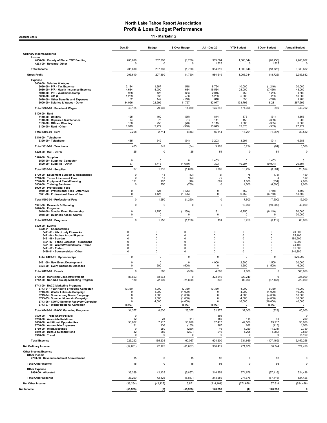Accrual Basis **11 - Marketing** 

|                                                                                | <b>Dec 20</b>              | <b>Budget</b>    | \$ Over Budget         | <b>Jul - Dec 20</b> | <b>YTD Budget</b>     | \$ Over Budget      | <b>Annual Budget</b>  |
|--------------------------------------------------------------------------------|----------------------------|------------------|------------------------|---------------------|-----------------------|---------------------|-----------------------|
| <b>Ordinary Income/Expense</b><br>Income                                       |                            |                  |                        |                     |                       |                     |                       |
| 4050-00 · County of Placer TOT Funding<br>4253-00 · Revenue- Other             | 205,610<br>0               | 207,360<br>0     | (1,750)<br>$\Omega$    | 983,094<br>1,525    | 1,003,344<br>$\Omega$ | (20, 250)<br>1,525  | 2,983,682<br>$\Omega$ |
| <b>Total Income</b>                                                            | 205,610                    | 207,360          | (1,750)                | 984,619             | 1,003,344             | (18, 725)           | 2,983,682             |
| <b>Gross Profit</b>                                                            | 205,610                    | 207,360          | (1,750)                | 984,619             | 1,003,344             | (18, 725)           | 2,983,682             |
| <b>Expense</b>                                                                 |                            |                  |                        |                     |                       |                     |                       |
| 5000-00 · Salaries & Wages<br>5020-00 · P/R - Tax Expense                      | 2,184                      | 1,667            | 518                    | 8,754               | 10,000                | (1,246)             | 20,000                |
| 5030-00 · P/R - Health Insurance Expense<br>5040-00 · P/R - Workmans Comp      | 4,634<br>958               | 4,000<br>125     | 634<br>833             | 16,534<br>2,015     | 24,000<br>750         | (7, 466)<br>1,265   | 48,000<br>1,500       |
| 5060-00 $\cdot$ 401 (k)<br>5070-00 · Other Benefits and Expenses               | 1,289<br>32                | 833<br>142       | 456<br>(110)           | 5,253<br>610        | 5,000<br>850          | 253<br>(240)        | 10,000<br>1,700       |
| 5000-00 · Salaries & Wages - Other<br>Total 5000-00 · Salaries & Wages         | 34,026<br>43,125           | 22,299<br>29,066 | 11,727<br>14,059       | 142,077<br>175,242  | 133,796<br>174,396    | 8,281<br>846        | 267,592<br>348,792    |
| 5100-00 · Rent                                                                 |                            |                  |                        |                     |                       |                     |                       |
| 5110-00 · Utilities<br>5140-00 · Repairs & Maintenance                         | 125<br>74                  | 160<br>75        | (35)<br>(1)            | 844<br>111          | 875<br>450            | (31)<br>(339)       | 1,855<br>900          |
| 5150-00 · Office - Cleaning<br>5100-00 · Rent - Other                          | 180<br>1,919               | 250<br>2,229     | (70)<br>(310)          | 1,115<br>13,043     | 1,500<br>13,376       | (385)<br>(333)      | 3,000<br>27,777       |
| Total 5100-00 · Rent                                                           | 2,298                      | 2,714            | (416)                  | 15,114              | 16,201                | (1,087)             | 33,532                |
| 5310-00 · Telephone                                                            |                            |                  |                        |                     |                       |                     |                       |
| 5320-00 · Telephone<br>Total 5310-00 · Telephone                               | 485<br>485                 | 549<br>549       | (64)<br>(64)           | 3,203<br>3,203      | 3,294<br>3,294        | (91)<br>(91)        | 6,588<br>6,588        |
| 5420-00 · Mail - USPS                                                          | 25                         | 0                | 25                     | 54                  | $\mathbf 0$           | 54                  | 0                     |
| 5520-00 · Supplies                                                             |                            |                  |                        |                     |                       |                     |                       |
| 5525-00 · Supplies- Computer<br>5520-00 · Supplies - Other                     | $\pmb{0}$<br>37            | 0<br>1,716       | $\mathbf 0$<br>(1,679) | 1,403<br>393        | 0<br>10,297           | 1,403<br>(9,904)    | $\Omega$<br>20,594    |
| Total 5520-00 · Supplies                                                       | 37                         | 1,716            | (1,679)                | 1,796               | 10,297                | (8,501)             | 20,594                |
| 5700-00 · Equipment Support & Maintenance                                      | 0<br>$\mathbf 0$           | 13               | (13)                   | (3)<br>79           | 75                    | (78)                | 150                   |
| 5710-00 · Taxes, Licenses & Fees<br>5740-00 · Equipment Rental/Leasing         | 121                        | 13<br>167        | (13)<br>(46)           | 669                 | 75<br>1,000           | (331)               | 150<br>2,000          |
| 5800-00 · Training Seminars<br>5900-00 · Professional Fees                     | 0                          | 750              | (750)                  | $\mathsf 0$         | 4,500                 | (4,500)             | 9,000                 |
| 5910-00 · Professional Fees - Attorneys<br>5921-00 · Professional Fees - Other | 0<br>0                     | 125<br>1,125     | (125)<br>(1, 125)      | $\mathbf 0$<br>0    | 750<br>6,750          | (750)<br>(6, 750)   | 1,500<br>13,500       |
| Total 5900-00 · Professional Fees                                              | $\mathbf 0$                | 1,250            | (1, 250)               | $\mathbf 0$         | 7,500                 | (7,500)             | 15,000                |
| 5941-00 · Research & Planning<br>$6020-00$ · Programs                          | 0                          | 0                | $\mathbf 0$            | $\mathbf 0$         | 10,000                | (10,000)            | 40,000                |
| 6016-00 · Special Event Partnership<br>6018-00 · Business Assoc. Grants        | 0<br>$\mathbf 0$           | 1,250<br>0       | (1,250)<br>0           | 131<br>$\mathbf 0$  | 6,250<br>0            | (6, 119)<br>0       | 50,000<br>30,000      |
| Total 6020-00 · Programs                                                       | $\mathsf 0$                | 1,250            | (1, 250)               | 131                 | 6,250                 | (6, 119)            | 80,000                |
| 6420-00 · Events                                                               |                            |                  |                        |                     |                       |                     |                       |
| 6420-01 · Sponsorships<br>6421-01 · 4th of July Fireworks                      | $\mathbf 0$                | 0                | 0                      | 0                   | 0                     | 0                   | 20,000                |
| 6421-04 · Broken Arrow Skyrace<br>6421-06 · Spartan                            | $\mathbf 0$<br>$\mathbf 0$ | 0<br>0           | 0<br>0                 | 0<br>0              | 0<br>0                | 0<br>0              | 25,400<br>180,900     |
| 6421-07 · Tahoe Lacrosse Tournament<br>6421-10 · WinterWonderGrass - Tahoe     | $\mathbf 0$<br>$\mathbf 0$ | 0<br>0           | 0<br>0                 | 0<br>0              | 0<br>0                | 0<br>0              | 6,000<br>24,400       |
| 6421-17 · Enduro<br>6420-01 · Sponsorships - Other                             | 0<br>0                     | 0<br>0           | 0<br>0                 | 0<br>0              | 0<br>0                | 0<br>0              | 31,500<br>240,800     |
| Total 6420-01 · Sponsorships                                                   | $\mathbf 0$                | 0                | 0                      | $\mathbf 0$         | 0                     | $\mathbf 0$         | 529,000               |
| 6421-00 · New Event Development<br>6424-00 · Event Operation Expenses          | 0<br>$\mathbf 0$           | 0<br>500         | $^{\circ}$<br>(500)    | 4,000<br>0          | 2,500<br>1,500        | 1,500<br>(1,500)    | 30,000<br>6,000       |
| Total 6420-00 · Events                                                         | $\mathbf 0$                | 500              | (500)                  | 4,000               | 4,000                 | $\mathbf 0$         | 565,000               |
| 6730-00 · Marketing Cooperative/Media                                          | 88,663                     | 88,663           | $\Omega$               | 323,240             | 323,240               | $\mathbf 0$         | 925,000               |
| 6742-00 · Non-NLT Co-Op Marketing Program                                      | 180                        | 22,000           | (21, 820)              | 832                 | 88,000                | (87, 168)           | 220,000               |
| 6743-00 · BACC Marketing Programs<br>6743-01 · Year Round Shopping Campaign    | 13,350                     | 1,000            | 12,350                 | 13,350              | 4,000                 | 9,350               | 10,000                |
| 6743-03 · Winter Lakeside Campaign<br>6743-04 · Summerlong Music Campaign      | 0<br>0                     | 1,000<br>1,000   | (1,000)<br>(1,000)     | 0<br>0              | 4,000<br>4,000        | (4,000)<br>(4,000)  | 10,000<br>10,000      |
| 6743-05 · Summer Mountain Campaign<br>6743-06 · COVID Summer Recovery Campaign | $\mathbf 0$<br>$\Omega$    | 1,000<br>4,000   | (1,000)<br>(4,000)     | 0<br>0              | 4,000<br>16,000       | (4,000)<br>(16,000) | 10,000<br>40,000      |
| 6743-07 · Winter Regional Campaign                                             | 18,027                     | 0                | 18,027                 | 18,027              | 0                     | 18,027              | 0                     |
| Total 6743-00 · BACC Marketing Programs<br>7500-00 · Trade Shows/Travel        | 31,377<br>0                | 8,000            | 23,377                 | 31,377<br>395       | 32,000                | (623)               | 80,000<br>$\Omega$    |
| 8200-00 · Associate Relations<br>8600-00 · Additional Opportunites             | 12<br>58,907               | 23<br>7,917      | (11)<br>50,990         | 156<br>67,417       | 114<br>47,500         | 43<br>19,917        | 250<br>95,000         |
| 8700-00 · Automobile Expenses<br>8750-00 · Meals/Meetings                      | 31<br>$\Omega$             | 136<br>250       | (105)<br>(250)         | 267<br>16           | 682<br>1,250          | (415)<br>(1, 234)   | 1,500<br>2,750        |
| 8810-00 · Dues & Subscriptions<br>8910-00 · Travel                             | 32<br>$\Omega$             | 259<br>$\Omega$  | (227)                  | 216<br>$\Omega$     | 1,295<br>0            | (1,080)<br>$\Omega$ | 2,850                 |
| <b>Total Expense</b>                                                           | 225,292                    | 165,235          | 60,057                 | 624,200             | 731,669               | (107, 469)          | 11,100<br>2,459,256   |
| <b>Net Ordinary Income</b>                                                     | (19,681)                   | 42,125           | (61, 807)              | 360,419             | 271,676               | 88,744              | 524,426               |
| <b>Other Income/Expense</b>                                                    |                            |                  |                        |                     |                       |                     |                       |
| Other Income<br>4700-00 · Revenues- Interest & Investment                      | 15                         | 0                | 15                     | 98                  | 0                     | 98                  | 0                     |
| <b>Total Other Income</b>                                                      | 15                         | 0                | 15                     | 98                  | $\overline{0}$        | 98                  | 0                     |
| <b>Other Expense</b><br>8990-00 · Allocated                                    | 36,269                     | 42,125           | (5, 857)               | 214,259             | 271,676               | (57, 416)           | 524,426               |
| <b>Total Other Expense</b>                                                     | 36,269                     | 42,125           | (5, 857)               | 214,259             | 271,676               | (57, 416)           | 524,426               |
| <b>Net Other Income</b>                                                        | (36, 254)                  | (42, 125)        | 5,871                  | (214, 161)          | (271, 676)            | 57,514              | (524, 426)            |
| Net Income                                                                     | (55, 935)                  | (0)              | (55, 935)              | 146,258             | (0)                   | 146,258             | 0                     |
|                                                                                |                            |                  |                        |                     |                       |                     |                       |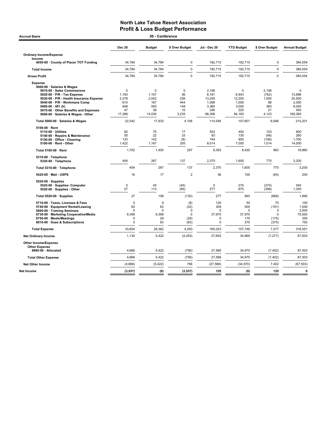| 30 - Conference<br><b>Accrual Basis</b>                                                                                                                                                                                                                                                             |                                                                      |                                                   |                                                           |                                                             |                                                         |                                                       |                                                           |  |  |  |
|-----------------------------------------------------------------------------------------------------------------------------------------------------------------------------------------------------------------------------------------------------------------------------------------------------|----------------------------------------------------------------------|---------------------------------------------------|-----------------------------------------------------------|-------------------------------------------------------------|---------------------------------------------------------|-------------------------------------------------------|-----------------------------------------------------------|--|--|--|
|                                                                                                                                                                                                                                                                                                     | <b>Dec 20</b>                                                        | <b>Budget</b>                                     | \$ Over Budget                                            | Jul - Dec 20                                                | <b>YTD Budget</b>                                       | \$ Over Budget                                        | <b>Annual Budget</b>                                      |  |  |  |
| <b>Ordinary Income/Expense</b><br>Income                                                                                                                                                                                                                                                            |                                                                      |                                                   |                                                           |                                                             |                                                         |                                                       |                                                           |  |  |  |
| 4050-00 · County of Placer TOT Funding                                                                                                                                                                                                                                                              | 34,784                                                               | 34,784                                            | $\mathbf 0$                                               | 192,715                                                     | 192,715                                                 | $\mathbf 0$                                           | 384,054                                                   |  |  |  |
| <b>Total Income</b>                                                                                                                                                                                                                                                                                 | 34,784                                                               | 34,784                                            | $\mathsf 0$                                               | 192,715                                                     | 192,715                                                 | $\pmb{0}$                                             | 384,054                                                   |  |  |  |
| <b>Gross Profit</b>                                                                                                                                                                                                                                                                                 | 34,784                                                               | 34,784                                            | $\mathbf 0$                                               | 192,715                                                     | 192,715                                                 | $\mathbf 0$                                           | 384,054                                                   |  |  |  |
| <b>Expense</b><br>5000-00 · Salaries & Wages<br>5010-00 · Sales Commissions<br>5020-00 · P/R - Tax Expense<br>5030-00 · P/R - Health Insurance Expense<br>5040-00 · P/R - Workmans Comp<br>$5060 - 00 \cdot 401$ (k)<br>5070-00 · Other Benefits and Expenses<br>5000-00 · Salaries & Wages - Other | $\mathbf 0$<br>1,193<br>2,278<br>610<br>648<br>47<br>17,266          | 0<br>1,157<br>2,042<br>167<br>500<br>38<br>14,030 | $\mathbf 0$<br>36<br>236<br>444<br>148<br>10<br>3,235     | 2,106<br>6,181<br>13,250<br>1,098<br>3.360<br>246<br>88,306 | 0<br>6,943<br>12,250<br>1,000<br>3.000<br>225<br>84,183 | 2,106<br>(762)<br>1,000<br>98<br>360<br>21<br>4,123   | 0<br>13,886<br>24,500<br>2,000<br>6.000<br>450<br>168,365 |  |  |  |
| Total 5000-00 · Salaries & Wages                                                                                                                                                                                                                                                                    | 22,042                                                               | 17,933                                            | 4,108                                                     | 114,546                                                     | 107,601                                                 | 6,946                                                 | 215,201                                                   |  |  |  |
| 5100-00 · Rent<br>5110-00 · Utilities<br>5140-00 · Repairs & Maintenance<br>5150-00 · Office - Cleaning<br>5100-00 · Rent - Other                                                                                                                                                                   | 92<br>55<br>133<br>1,422                                             | 75<br>22<br>142<br>1,167                          | 17<br>33<br>(8)<br>255                                    | 553<br>83<br>744<br>8,014                                   | 450<br>130<br>850<br>7,000                              | 103<br>(48)<br>(106)<br>1,014                         | 900<br>260<br>1,700<br>14,000                             |  |  |  |
| Total 5100-00 · Rent                                                                                                                                                                                                                                                                                | 1,702                                                                | 1,405                                             | 297                                                       | 9,393                                                       | 8,430                                                   | 963                                                   | 16,860                                                    |  |  |  |
| 5310-00 · Telephone<br>5320-00 · Telephone                                                                                                                                                                                                                                                          | 404                                                                  | 267                                               | 137                                                       | 2,370                                                       | 1,600                                                   | 770                                                   | 3,200                                                     |  |  |  |
| Total 5310-00 · Telephone                                                                                                                                                                                                                                                                           | 404                                                                  | 267                                               | 137                                                       | 2,370                                                       | 1,600                                                   | 770                                                   | 3,200                                                     |  |  |  |
| 5420-00 Mail - USPS                                                                                                                                                                                                                                                                                 | 18                                                                   | 17                                                | $\overline{2}$                                            | 36                                                          | 100                                                     | (64)                                                  | 200                                                       |  |  |  |
| $5520-00 \cdot$ Supplies<br>5525-00 · Supplies- Computer<br>5520-00 · Supplies - Other                                                                                                                                                                                                              | $\mathbf 0$<br>27                                                    | 45<br>113                                         | (45)<br>(85)                                              | $\mathbf 0$<br>277                                          | 270<br>675                                              | (270)<br>(398)                                        | 540<br>1,350                                              |  |  |  |
| Total 5520-00 · Supplies                                                                                                                                                                                                                                                                            | 27                                                                   | 158                                               | (130)                                                     | 277                                                         | 945                                                     | (668)                                                 | 1,890                                                     |  |  |  |
| 5710-00 · Taxes, Licenses & Fees<br>5740-00 · Equipment Rental/Leasing<br>5800-00 · Training Seminars<br>6730-00 · Marketing Cooperative/Media<br>8750-00 · Meals/Meetings<br>8810-00 · Dues & Subscriptions                                                                                        | $\mathbf 0$<br>62<br>$\Omega$<br>9.399<br>$\mathbf 0$<br>$\mathbf 0$ | 8<br>83<br>$\Omega$<br>9.399<br>29<br>63          | (8)<br>(22)<br>$\mathbf 0$<br>$\mathbf 0$<br>(29)<br>(63) | 120<br>309<br>$\Omega$<br>37,970<br>0<br>$\mathbf 0$        | 50<br>500<br>0<br>37.970<br>175<br>375                  | 70<br>(191)<br>$\Omega$<br>$\Omega$<br>(175)<br>(375) | 100<br>1,000<br>2,000<br>75,000<br>350<br>750             |  |  |  |
| <b>Total Expense</b>                                                                                                                                                                                                                                                                                | 33,654                                                               | 29,362                                            | 4,293                                                     | 165,023                                                     | 157,746                                                 | 7,277                                                 | 316,551                                                   |  |  |  |
| <b>Net Ordinary Income</b>                                                                                                                                                                                                                                                                          | 1,130                                                                | 5,422                                             | (4, 293)                                                  | 27,693                                                      | 34,969                                                  | (7, 277)                                              | 67,503                                                    |  |  |  |
| Other Income/Expense<br><b>Other Expense</b>                                                                                                                                                                                                                                                        |                                                                      |                                                   |                                                           |                                                             |                                                         |                                                       |                                                           |  |  |  |
| 8990-00 · Allocated                                                                                                                                                                                                                                                                                 | 4,666                                                                | 5,422                                             | (756)                                                     | 27,568                                                      | 34,970                                                  | (7, 402)                                              | 67,503                                                    |  |  |  |
| <b>Total Other Expense</b>                                                                                                                                                                                                                                                                          | 4,666                                                                | 5,422                                             | (756)                                                     | 27,568                                                      | 34,970                                                  | (7, 402)                                              | 67,503                                                    |  |  |  |
| <b>Net Other Income</b>                                                                                                                                                                                                                                                                             | (4,666)                                                              | (5, 422)                                          | 756                                                       | (27, 568)                                                   | (34, 970)                                               | 7,402                                                 | (67, 503)                                                 |  |  |  |
| <b>Net Income</b>                                                                                                                                                                                                                                                                                   | (3, 537)                                                             | (0)                                               | (3, 537)                                                  | 125                                                         | (0)                                                     | 125                                                   | 0                                                         |  |  |  |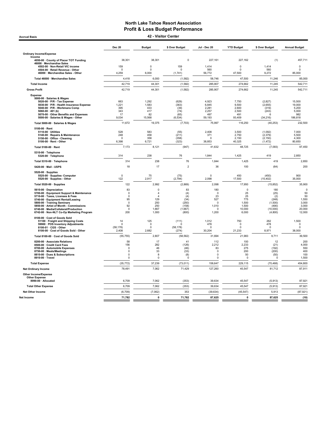Accrual Basis 42 - Visitor Center

|                                                                                    | <b>Dec 20</b>            | <b>Budget</b>                    | \$ Over Budget        | Jul - Dec 20           | <b>YTD Budget</b>       | \$ Over Budget       | <b>Annual Budget</b>    |
|------------------------------------------------------------------------------------|--------------------------|----------------------------------|-----------------------|------------------------|-------------------------|----------------------|-------------------------|
| <b>Ordinary Income/Expense</b>                                                     |                          |                                  |                       |                        |                         |                      |                         |
| Income<br>4050-00 · County of Placer TOT Funding<br>46000 · Merchandise Sales      | 38,301                   | 38,301                           | $\mathbf 0$           | 227.161                | 227,162                 | (1)                  | 457,711                 |
| 4502-00 · Non-Retail VIC income                                                    | 159                      | 0                                | 159                   | 1,414                  | $\mathbf 0$             | 1,414                | $\pmb{0}$               |
| 4504-00 · Retail Revenue - Other<br>46000 · Merchandise Sales - Other              | $\Omega$<br>4,259        | $\Omega$<br>6,000                | $\Omega$<br>(1,741)   | 560<br>56,772          | $\mathbf 0$<br>47,500   | 560<br>9,272         | $\mathbf 0$<br>85,000   |
| Total 46000 · Merchandise Sales                                                    | 4,418                    | 6,000                            | (1, 582)              | 58,746                 | 47,500                  | 11,246               | 85,000                  |
| <b>Total Income</b>                                                                | 42,719                   | 44,301                           | (1, 582)              | 285,907                | 274,662                 | 11,245               | 542,711                 |
| <b>Gross Profit</b>                                                                | 42,719                   | 44,301                           | (1,582)               | 285,907                | 274,662                 | 11,245               | 542,711                 |
| <b>Expense</b><br>5000-00 · Salaries & Wages<br>5020-00 · P/R - Tax Expense        | 663                      | 1,292                            | (629)                 | 4,923                  | 7,750                   | (2,827)              | 15,500                  |
| 5030-00 · P/R - Health Insurance Expense                                           | 1,221                    | 1,583                            | (363)                 | 6,845                  | 9,500                   | (2,655)              | 19,000                  |
| 5040-00 · P/R - Workmans Comp<br>5060-00 $\cdot$ 401 (k)                           | 395<br>343               | 433<br>417                       | (39)<br>(74)          | 2,281<br>2,257         | 2,600<br>2,500          | (319)<br>(243)       | 5,200<br>5,000          |
| 5070-00 · Other Benefits and Expenses<br>5000-00 · Salaries & Wages - Other        | 17<br>9,034              | 82<br>15,568                     | (65)<br>(6, 534)      | 497<br>59,193          | 491<br>93,409           | 6<br>(34, 216)       | 982<br>186,818          |
| Total 5000-00 · Salaries & Wages                                                   | 11,672                   | 19,375                           | (7, 703)              | 75,997                 | 116,250                 | (40, 253)            | 232,500                 |
| 5100-00 · Rent<br>5110-00 · Utilities                                              | 528                      | 583                              | (55)                  | 2,408                  | 3,500                   | (1,092)              | 7,000                   |
| 5140-00 · Repairs & Maintenance                                                    | 248                      | 458                              | (211)                 | 371                    | 2,750                   | (2, 379)             | 5,500                   |
| 5150-00 · Office - Cleaning<br>5100-00 · Rent - Other                              | $\Omega$<br>6,398        | 358<br>6,721                     | (358)<br>(323)        | $\mathbf 0$<br>38,853  | 2.150<br>40,325         | (2, 150)<br>(1, 472) | 4.300<br>80,650         |
| Total 5100-00 · Rent                                                               | 7,173                    | 8,121                            | (947)                 | 41,632                 | 48,725                  | (7,093)              | 97,450                  |
| 5310-00 · Telephone<br>5320-00 · Telephone                                         | 314                      | 238                              | 76                    | 1,844                  | 1,425                   | 419                  | 2,850                   |
| Total 5310-00 · Telephone                                                          | 314                      | 238                              | 76                    | 1,844                  | 1,425                   | 419                  | 2,850                   |
| 5420-00 · Mail - USPS                                                              | 18                       | 17                               | $\overline{2}$        | 36                     | 100                     | (64)                 | 200                     |
| 5520-00 · Supplies<br>5525-00 · Supplies- Computer<br>5520-00 · Supplies - Other   | $\mathbf 0$<br>122       | 75<br>2,917                      | (75)<br>(2,794)       | $\mathbf 0$<br>2,098   | 450<br>17,500           | (450)<br>(15, 402)   | 900<br>35,000           |
| Total 5520-00 · Supplies                                                           | 122                      | 2,992                            | (2,869)               | 2,098                  | 17,950                  | (15, 852)            | 35,900                  |
| 5610-00 · Depreciation                                                             | 83                       | 0                                | 83                    | 180                    | $\mathsf 0$             | 180                  | $\mathbf 0$             |
| 5700-00 · Equipment Support & Maintenance<br>5710-00 · Taxes, Licenses & Fees      | $\Omega$<br>$\Omega$     | $\overline{4}$<br>$\overline{4}$ | (4)<br>(4)            | $\Omega$<br>23         | 25<br>25                | (25)<br>(2)          | 50<br>50                |
| 5740-00 · Equipment Rental/Leasing                                                 | 95<br>$\Omega$           | 129                              | (34)                  | 527<br>$\Omega$        | 775                     | (248)                | 1,550                   |
| 5800-00 · Training Seminars<br>5850-00 · Artist of Month - Commissions             | 92                       | 250<br>250                       | (250)<br>(158)        | 1,010                  | 1,500<br>1.500          | (1,500)<br>(490)     | 3,000<br>3.000          |
| 6740-00 · Media/Collateral/Production<br>6742-00 · Non-NLT Co-Op Marketing Program | $\mathbf 0$<br>200       | 1,667<br>1,000                   | (1,667)<br>(800)      | $\Omega$<br>1,200      | 10,000<br>6,000         | (10,000)<br>(4,800)  | 20,000<br>12,000        |
| 8100-00 · Cost of Goods Sold                                                       |                          |                                  |                       |                        |                         |                      |                         |
| 51100 · Freight and Shipping Costs                                                 | 14                       | 125                              | (111)                 | 1,012                  | 750                     | 262                  | 1,500                   |
| 59900 · POS Inventory Adjustments<br>8100-01 · CGS - Other                         | $\mathbf 0$<br>(58, 178) | $\mathbf 0$<br>0                 | $\Omega$<br>(58, 178) | 478<br>$\Omega$        | $\mathbf 0$<br>$\Omega$ | 478<br>$\Omega$      | $\mathbf 0$<br>$\Omega$ |
| 8100-00 · Cost of Goods Sold - Other                                               | 2,408                    | 2,682                            | (274)                 | 30,204                 | 21,233                  | 8,971                | 38,000                  |
| Total 8100-00 · Cost of Goods Sold                                                 | (55, 755)                | 2,807                            | (58, 562)             | 31,694                 | 21,983                  | 9,711                | 39,500                  |
| 8200-00 · Associate Relations<br>8500-00 · Credit Card Fees                        | 58<br>156                | 17<br>282                        | 41<br>(126)           | 112<br>2.212           | 100<br>2.233            | 12<br>(21)           | 200<br>4.000            |
| 8700-00 · Automobile Expenses                                                      | 0                        | 46                               | (46)                  | 83                     | 275                     | (192)                | 550                     |
| 8750-00 · Meals/Meetings<br>8810-00 · Dues & Subscriptions                         | $\Omega$<br>$\mathbf 0$  | 33<br>8                          | (33)<br>(8)           | $^{\circ}$<br>$\Omega$ | 200<br>50               | (200)<br>(50)        | 400<br>100              |
| 8910-00 · Travel                                                                   | $\Omega$                 | $\mathbf 0$                      | $\mathbf 0$           | $\Omega$               | $\mathbf 0$             | $\Omega$             | 1,500                   |
| <b>Total Expense</b>                                                               | (35, 772)                | 37,239                           | (73, 011)             | 158,647                | 229,115                 | (70, 468)            | 454.800                 |
| <b>Net Ordinary Income</b>                                                         | 78,491                   | 7,062                            | 71,429                | 127,260                | 45,547                  | 81,712               | 87,911                  |
| <b>Other Income/Expense</b><br><b>Other Expense</b>                                |                          |                                  |                       |                        |                         |                      |                         |
| 8990-00 · Allocated                                                                | 6,709                    | 7,062                            | (353)                 | 39,634                 | 45,547                  | (5, 913)             | 87,921                  |
| <b>Total Other Expense</b>                                                         | 6,709                    | 7,062                            | (353)                 | 39,634                 | 45,547                  | (5,913)              | 87,921                  |
| <b>Net Other Income</b>                                                            | (6, 709)                 | (7,062)                          | 353                   | (39, 634)              | (45, 547)               | 5,913                | (87, 921)               |
| Net Income                                                                         | 71,782                   | 0                                | 71,782                | 87,625                 | $\mathbf{0}$            | 87,625               | (10)                    |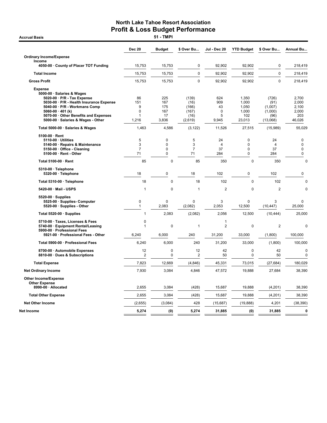**Accrual Basis** 

|                                                                                                                                                                                                                                                                        | <b>Dec 20</b>                            | <b>Budget</b>                              | \$ Over Bu                                         | Jul - Dec 20                               | <b>YTD Budget</b>                                        | \$ Over Bu                                              | Annual Bu                                         |
|------------------------------------------------------------------------------------------------------------------------------------------------------------------------------------------------------------------------------------------------------------------------|------------------------------------------|--------------------------------------------|----------------------------------------------------|--------------------------------------------|----------------------------------------------------------|---------------------------------------------------------|---------------------------------------------------|
| <b>Ordinary Income/Expense</b>                                                                                                                                                                                                                                         |                                          |                                            |                                                    |                                            |                                                          |                                                         |                                                   |
| Income<br>4050-00 · County of Placer TOT Funding                                                                                                                                                                                                                       | 15,753                                   | 15,753                                     | 0                                                  | 92.902                                     | 92,902                                                   | 0                                                       | 218,419                                           |
| <b>Total Income</b>                                                                                                                                                                                                                                                    | 15,753                                   | 15,753                                     | $\mathbf 0$                                        | 92,902                                     | 92,902                                                   | $\mathbf 0$                                             | 218,419                                           |
| <b>Gross Profit</b>                                                                                                                                                                                                                                                    | 15,753                                   | 15,753                                     | 0                                                  | 92,902                                     | 92,902                                                   | $\mathbf 0$                                             | 218,419                                           |
| <b>Expense</b><br>5000-00 · Salaries & Wages<br>$5020-00 \cdot P/R$ - Tax Expense<br>5030-00 · P/R - Health Insurance Expense<br>5040-00 · P/R - Workmans Comp<br>5060-00 $\cdot$ 401 (k)<br>5070-00 Other Benefits and Expenses<br>5000-00 · Salaries & Wages - Other | 86<br>151<br>9<br>$\Omega$<br>1<br>1,216 | 225<br>167<br>175<br>167<br>17<br>3,836    | (139)<br>(16)<br>(166)<br>(167)<br>(16)<br>(2,619) | 624<br>909<br>43<br>$\Omega$<br>5<br>9,945 | 1,350<br>1,000<br>1,050<br>1,000<br>102<br>23,013        | (726)<br>(91)<br>(1,007)<br>(1,000)<br>(96)<br>(13,068) | 2,700<br>2,000<br>2,100<br>2,000<br>203<br>46,026 |
| Total 5000-00 · Salaries & Wages                                                                                                                                                                                                                                       | 1,463                                    | 4,586                                      | (3, 122)                                           | 11,526                                     | 27,515                                                   | (15,989)                                                | 55,029                                            |
| 5100-00 · Rent<br>5110-00 · Utilities<br>5140-00 · Repairs & Maintenance<br>5150-00 · Office - Cleaning<br>5100-00 · Rent - Other                                                                                                                                      | 5<br>3<br>$\overline{7}$<br>71           | $\overline{0}$<br>$\overline{0}$<br>0<br>0 | 5<br>3<br>$\overline{7}$<br>71                     | 24<br>$\overline{4}$<br>37<br>284          | $\mathbf 0$<br>$\mathbf 0$<br>$\mathbf 0$<br>$\mathbf 0$ | 24<br>$\overline{4}$<br>37<br>284                       | 0<br>$\mathbf 0$<br>$\mathbf 0$<br>$\pmb{0}$      |
| Total 5100-00 · Rent                                                                                                                                                                                                                                                   | 85                                       | $\mathbf 0$                                | 85                                                 | 350                                        | $\mathbf 0$                                              | 350                                                     | $\Omega$                                          |
| 5310-00 · Telephone<br>5320-00 · Telephone                                                                                                                                                                                                                             | 18                                       | 0                                          | 18                                                 | 102                                        | $\mathbf 0$                                              | 102                                                     | 0                                                 |
| Total 5310-00 · Telephone                                                                                                                                                                                                                                              | 18                                       | $\mathbf 0$                                | 18                                                 | 102                                        | $\mathbf 0$                                              | 102                                                     | $\mathbf 0$                                       |
| 5420-00 · Mail - USPS                                                                                                                                                                                                                                                  | 1                                        | 0                                          | 1                                                  | $\overline{2}$                             | $\mathbf 0$                                              | $\overline{2}$                                          | 0                                                 |
| $5520-00 \cdot$ Supplies<br>5525-00 · Supplies- Computer<br>5520-00 · Supplies - Other                                                                                                                                                                                 | 0<br>1                                   | 0<br>2,083                                 | 0<br>(2,082)                                       | 3<br>2,053                                 | $\Omega$<br>12,500                                       | 3<br>(10, 447)                                          | 0<br>25,000                                       |
| Total 5520-00 · Supplies                                                                                                                                                                                                                                               | $\mathbf{1}$                             | 2,083                                      | (2,082)                                            | 2,056                                      | 12,500                                                   | (10, 444)                                               | 25,000                                            |
| 5710-00 · Taxes, Licenses & Fees<br>5740-00 · Equipment Rental/Leasing<br>5900-00 · Professional Fees<br>5921-00 · Professional Fees - Other                                                                                                                           | 0<br>$\mathbf{1}$<br>6,240               | $\mathbf 0$<br>6,000                       | $\mathbf{1}$<br>240                                | 1<br>$\overline{2}$<br>31,200              | $\mathbf 0$<br>33,000                                    | $\overline{2}$<br>(1,800)                               | 0<br>100,000                                      |
| Total 5900-00 · Professional Fees                                                                                                                                                                                                                                      | 6,240                                    | 6,000                                      | 240                                                | 31,200                                     | 33,000                                                   | (1,800)                                                 | 100,000                                           |
| 8700-00 · Automobile Expenses<br>8810-00 · Dues & Subscriptions                                                                                                                                                                                                        | 12<br>2                                  | 0<br>0                                     | 12<br>2                                            | 42<br>50                                   | $\mathbf 0$<br>$\mathbf 0$                               | 42<br>50                                                | $\mathbf 0$<br>$\mathbf 0$                        |
| <b>Total Expense</b>                                                                                                                                                                                                                                                   | 7,823                                    | 12,669                                     | (4, 846)                                           | 45,331                                     | 73.015                                                   | (27, 684)                                               | 180,029                                           |
| <b>Net Ordinary Income</b>                                                                                                                                                                                                                                             | 7,930                                    | 3,084                                      | 4,846                                              | 47,572                                     | 19,888                                                   | 27,684                                                  | 38,390                                            |
| <b>Other Income/Expense</b><br><b>Other Expense</b>                                                                                                                                                                                                                    |                                          |                                            |                                                    |                                            |                                                          |                                                         |                                                   |
| 8990-00 · Allocated                                                                                                                                                                                                                                                    | 2,655                                    | 3,084                                      | (428)                                              | 15,687                                     | 19,888                                                   | (4,201)                                                 | 38,390                                            |
| <b>Total Other Expense</b><br><b>Net Other Income</b>                                                                                                                                                                                                                  | 2,655                                    | 3,084                                      | (428)<br>428                                       | 15,687                                     | 19,888                                                   | (4,201)                                                 | 38,390                                            |
| Net Income                                                                                                                                                                                                                                                             | (2,655)<br>5,274                         | (3,084)                                    | 5,274                                              | (15, 687)<br>31,885                        | (19, 888)                                                | 4,201<br>31,885                                         | (38, 390)<br>$\bf{0}$                             |
|                                                                                                                                                                                                                                                                        |                                          | (0)                                        |                                                    |                                            | (0)                                                      |                                                         |                                                   |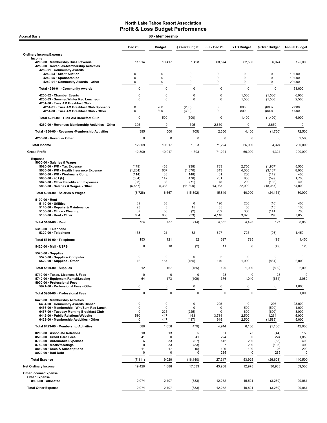| 60 - Membership<br><b>Accrual Basis</b>                                                                                                                                                                                                                            |                                                         |                                        |                                                         |                                                  |                                               |                                                            |                                                 |  |
|--------------------------------------------------------------------------------------------------------------------------------------------------------------------------------------------------------------------------------------------------------------------|---------------------------------------------------------|----------------------------------------|---------------------------------------------------------|--------------------------------------------------|-----------------------------------------------|------------------------------------------------------------|-------------------------------------------------|--|
|                                                                                                                                                                                                                                                                    | <b>Dec 20</b>                                           | <b>Budget</b>                          | \$ Over Budget                                          | Jul - Dec 20                                     | <b>YTD Budget</b>                             | \$ Over Budget                                             | <b>Annual Budget</b>                            |  |
| <b>Ordinary Income/Expense</b>                                                                                                                                                                                                                                     |                                                         |                                        |                                                         |                                                  |                                               |                                                            |                                                 |  |
| Income<br>4200-00 · Membership Dues Revenue<br>4250-00 · Revenues-Membership Activities<br>4250-01 · Community Awards                                                                                                                                              | 11,914                                                  | 10,417                                 | 1,498                                                   | 68,574                                           | 62,500                                        | 6,074                                                      | 125,000                                         |  |
| 4250-04 · Silent Auction<br>4250-05 · Sponsorships<br>4250-01 Community Awards - Other                                                                                                                                                                             | 0<br>0<br>$\mathbf 0$                                   | 0<br>0<br>0                            | 0<br>0<br>0                                             | 0<br>0<br>0                                      | 0<br>0<br>0                                   | 0<br>0<br>0                                                | 19,000<br>19,000<br>20,000                      |  |
| Total 4250-01 · Community Awards                                                                                                                                                                                                                                   | 0                                                       | 0                                      | 0                                                       | $\mathbf 0$                                      | $\pmb{0}$                                     | $\mathbf 0$                                                | 58,000                                          |  |
| 4250-02 · Chamber Events<br>4250-03 · Summer/Winter Rec Luncheon<br>4251-00 · Tues AM Breakfast Club                                                                                                                                                               | 0<br>$\mathbf 0$                                        | 0<br>$\mathbf 0$                       | 0<br>$\mathbf 0$                                        | $\pmb{0}$<br>$\mathbf 0$                         | 1,500<br>1,500                                | (1,500)<br>(1,500)                                         | 6,000<br>2,500                                  |  |
| 4251-01 · Tues AM Breakfast Club Sponsors<br>4251-00 · Tues AM Breakfast Club - Other                                                                                                                                                                              | 0<br>0                                                  | 200<br>300                             | (200)<br>(300)                                          | 0<br>0                                           | 600<br>800                                    | (600)<br>(800)                                             | 2,000<br>4,000                                  |  |
| Total 4251-00 · Tues AM Breakfast Club                                                                                                                                                                                                                             | 0                                                       | 500                                    | (500)                                                   | $\Omega$                                         | 1,400                                         | (1,400)                                                    | 6,000                                           |  |
| 4250-00 · Revenues-Membership Activities - Other                                                                                                                                                                                                                   | 395                                                     | 0                                      | 395                                                     | 2,650                                            | 0                                             | 2,650                                                      | $\mathbf 0$                                     |  |
| Total 4250-00 · Revenues-Membership Activities                                                                                                                                                                                                                     | 395                                                     | 500                                    | (105)                                                   | 2,650                                            | 4,400                                         | (1,750)                                                    | 72,500                                          |  |
| 4253-00 · Revenue- Other                                                                                                                                                                                                                                           | 0                                                       | 0                                      | $\mathbf 0$                                             | 0                                                | 0                                             | 0                                                          | 2,500                                           |  |
| <b>Total Income</b>                                                                                                                                                                                                                                                | 12,309                                                  | 10,917                                 | 1,393                                                   | 71,224                                           | 66,900                                        | 4,324                                                      | 200,000                                         |  |
| <b>Gross Profit</b>                                                                                                                                                                                                                                                | 12,309                                                  | 10,917                                 | 1,393                                                   | 71,224                                           | 66,900                                        | 4,324                                                      | 200,000                                         |  |
| <b>Expense</b><br>5000-00 · Salaries & Wages<br>5020-00 · P/R - Tax Expense<br>5030-00 · P/R - Health Insurance Expense<br>5040-00 · P/R - Workmans Comp<br>5060-00 $\cdot$ 401 (k)<br>5070-00 · Other Benefits and Expenses<br>5000-00 · Salaries & Wages - Other | (479)<br>(1, 204)<br>(114)<br>(334)<br>(38)<br>(6, 557) | 458<br>667<br>33<br>142<br>33<br>5,333 | (938)<br>(1,870)<br>(148)<br>(476)<br>(71)<br>(11, 890) | 783<br>813<br>51<br>251<br>18<br>13,933          | 2,750<br>4,000<br>200<br>850<br>200<br>32,000 | (1,967)<br>(3, 187)<br>(149)<br>(599)<br>(182)<br>(18,067) | 5,500<br>8,000<br>400<br>1,700<br>400<br>64,000 |  |
| Total 5000-00 · Salaries & Wages                                                                                                                                                                                                                                   | (8, 726)                                                | 6,667                                  | (15, 392)                                               | 15,849                                           | 40,000                                        | (24, 151)                                                  | 80,000                                          |  |
| $5100-00 \cdot$ Rent<br>5110-00 · Utilities<br>5140-00 · Repairs & Maintenance<br>5150-00 · Office - Cleaning<br>5100-00 · Rent - Other                                                                                                                            | 39<br>23<br>57<br>604                                   | 33<br>8<br>58<br>638                   | 6<br>15<br>(2)<br>(33)                                  | 190<br>35<br>209<br>4,118                        | 200<br>50<br>350<br>3,825                     | (10)<br>(15)<br>(141)<br>293                               | 400<br>100<br>700<br>7,650                      |  |
| Total 5100-00 · Rent                                                                                                                                                                                                                                               | 724                                                     | 737                                    | (14)                                                    | 4,552                                            | 4,425                                         | 127                                                        | 8,850                                           |  |
| 5310-00 · Telephone<br>5320-00 · Telephone                                                                                                                                                                                                                         | 153                                                     | 121                                    | 32                                                      | 627                                              | 725                                           | (98)                                                       | 1,450                                           |  |
| Total 5310-00 · Telephone                                                                                                                                                                                                                                          | 153                                                     | 121                                    | 32                                                      | 627                                              | 725                                           | (98)                                                       | 1,450                                           |  |
| 5420-00 · Mail - USPS                                                                                                                                                                                                                                              | 8                                                       | 10                                     | (2)                                                     | 11                                               | 60                                            | (49)                                                       |                                                 |  |
| $5520-00 \cdot$ Supplies<br>5525-00 · Supplies- Computer<br>5520-00 · Supplies - Other                                                                                                                                                                             | 0<br>12                                                 | 0<br>167                               | $\mathbf 0$<br>(155)                                    | $\overline{2}$<br>119                            | 0<br>1,000                                    | $\overline{2}$<br>(881)                                    | 0<br>2,000                                      |  |
| Total 5520-00 · Supplies                                                                                                                                                                                                                                           | 12                                                      | 167                                    | (155)                                                   | 120                                              | 1,000                                         | (880)                                                      | 2,000                                           |  |
| 5710-00 · Taxes, Licenses & Fees<br>5740-00 · Equipment Rental/Leasing<br>5900-00 · Professional Fees                                                                                                                                                              | 0<br>64                                                 | 0<br>173                               | $\pmb{0}$<br>(109)                                      | 23<br>376                                        | 0<br>1,040                                    | 23<br>(664)                                                | 2,080                                           |  |
| 5921-00 · Professional Fees - Other                                                                                                                                                                                                                                | 0                                                       | $\pmb{0}$                              | $\pmb{0}$                                               | 0                                                | 0                                             | 0                                                          | 1,000                                           |  |
| Total 5900-00 · Professional Fees                                                                                                                                                                                                                                  | $\pmb{0}$                                               | $\mathsf 0$                            | $\mathbf 0$                                             | $\pmb{0}$                                        | $\pmb{0}$                                     | $\mathbf 0$                                                | 1,000                                           |  |
| 6423-00 · Membership Activities<br>6434-00 Community Awards Dinner<br>6436-00 · Membership - Wnt/Sum Rec Lunch<br>6437-00 · Tuesday Morning Breakfast Club<br>6442-00 · Public Relations/Website<br>6423-00 · Membership Activities - Other                        | 0<br>0<br>0<br>580<br>0                                 | 0<br>$\mathbf 0$<br>225<br>417<br>417  | 0<br>0<br>(225)<br>163<br>(417)                         | 295<br>$\Omega$<br>0<br>3,734<br>915             | 0<br>500<br>600<br>2,500<br>2,500             | 295<br>(500)<br>(600)<br>1,234<br>(1,585)                  | 28,000<br>1,000<br>3,000<br>5,000<br>5,000      |  |
| Total 6423-00 · Membership Activities                                                                                                                                                                                                                              | 580                                                     | 1,058                                  | (479)                                                   | 4,944                                            | 6,100                                         | (1, 156)                                                   | 42,000                                          |  |
| 8200-00 · Associate Relations<br>8500-00 · Credit Card Fees<br>8700-00 · Automobile Expenses<br>8750-00 · Meals/Meetings<br>8810-00 · Dues & Subscriptions<br>8920-00 · Bad Debt                                                                                   | 18<br>41<br>6<br>0<br>11<br>0                           | 13<br>0<br>33<br>33<br>17<br>0         | 5<br>41<br>(27)<br>(33)<br>(6)<br>$\mathbf 0$           | 31<br>224<br>142<br>$\overline{7}$<br>126<br>285 | 75<br>$\mathbf 0$<br>200<br>200<br>100<br>0   | (44)<br>224<br>(58)<br>(193)<br>26<br>285                  | 1,850<br>400                                    |  |
| <b>Total Expense</b>                                                                                                                                                                                                                                               | (7, 111)                                                | 9,029                                  | (16, 140)                                               | 27,317                                           | 53,925                                        | (26, 608)                                                  | 140,500                                         |  |
| <b>Net Ordinary Income</b>                                                                                                                                                                                                                                         | 19,420                                                  | 1,888                                  | 17,533                                                  | 43,908                                           | 12,975                                        | 30,933                                                     | 59,500                                          |  |
| Other Income/Expense                                                                                                                                                                                                                                               |                                                         |                                        |                                                         |                                                  |                                               |                                                            |                                                 |  |
| <b>Other Expense</b><br>8990-00 · Allocated                                                                                                                                                                                                                        | 2,074                                                   | 2,407                                  | (333)                                                   | 12,252                                           | 15,521                                        | (3, 269)                                                   | 29,961                                          |  |
| <b>Total Other Expense</b>                                                                                                                                                                                                                                         | 2,074                                                   | 2,407                                  | (333)                                                   | 12,252                                           | 15,521                                        | (3,269)                                                    | 29,961                                          |  |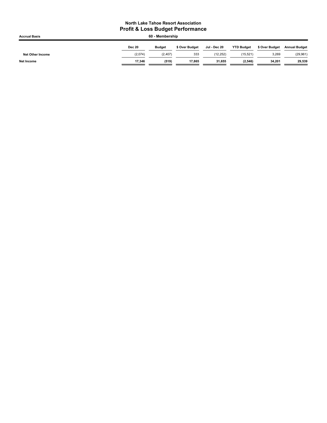| <b>Accrual Basis</b>    | 60 - Membership |               |                |              |                   |                |                      |  |
|-------------------------|-----------------|---------------|----------------|--------------|-------------------|----------------|----------------------|--|
|                         | <b>Dec 20</b>   | <b>Budget</b> | \$ Over Budget | Jul - Dec 20 | <b>YTD Budget</b> | \$ Over Budget | <b>Annual Budget</b> |  |
| <b>Net Other Income</b> | (2,074)         | (2, 407)      | 333            | (12.252)     | (15, 521)         | 3,269          | (29, 961)            |  |
| <b>Net Income</b>       | 17.346          | (519)         | 17.865         | 31.655       | (2, 546)          | 34.201         | 29,539               |  |